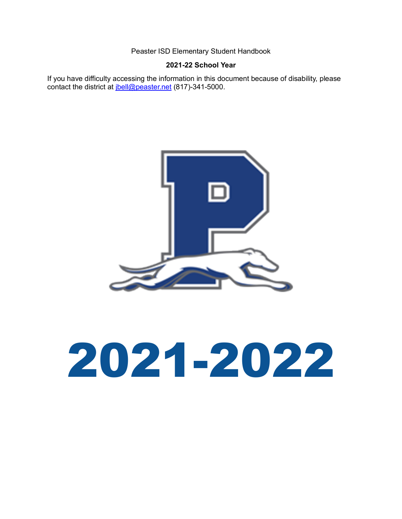## **2021-22 School Year**

If you have difficulty accessing the information in this document because of disability, please contact the district at *jbell@peaster.net* (817)-341-5000.



# 2021-2022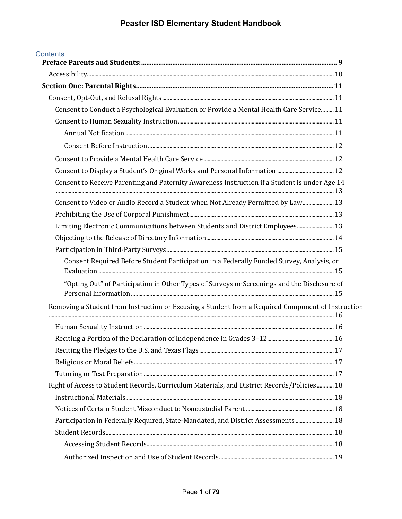| <b>Contents</b>                                                                                    |  |
|----------------------------------------------------------------------------------------------------|--|
|                                                                                                    |  |
|                                                                                                    |  |
|                                                                                                    |  |
| Consent to Conduct a Psychological Evaluation or Provide a Mental Health Care Service 11           |  |
|                                                                                                    |  |
|                                                                                                    |  |
|                                                                                                    |  |
|                                                                                                    |  |
|                                                                                                    |  |
| Consent to Receive Parenting and Paternity Awareness Instruction if a Student is under Age 14      |  |
| Consent to Video or Audio Record a Student when Not Already Permitted by Law 13                    |  |
|                                                                                                    |  |
| Limiting Electronic Communications between Students and District Employees 13                      |  |
|                                                                                                    |  |
|                                                                                                    |  |
| Consent Required Before Student Participation in a Federally Funded Survey, Analysis, or           |  |
| "Opting Out" of Participation in Other Types of Surveys or Screenings and the Disclosure of        |  |
| Removing a Student from Instruction or Excusing a Student from a Required Component of Instruction |  |
|                                                                                                    |  |
|                                                                                                    |  |
|                                                                                                    |  |
|                                                                                                    |  |
|                                                                                                    |  |
| Right of Access to Student Records, Curriculum Materials, and District Records/Policies  18        |  |
|                                                                                                    |  |
|                                                                                                    |  |
| Participation in Federally Required, State-Mandated, and District Assessments 18                   |  |
|                                                                                                    |  |
|                                                                                                    |  |
|                                                                                                    |  |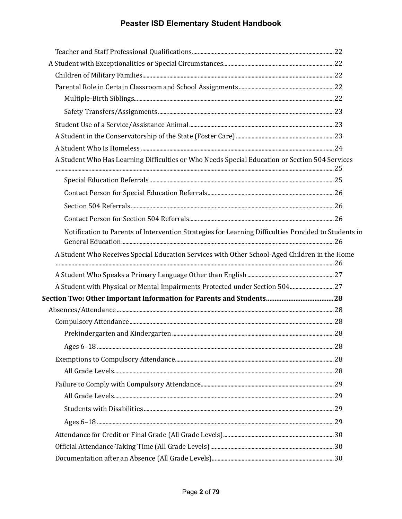| A Student Who Has Learning Difficulties or Who Needs Special Education or Section 504 Services       |  |
|------------------------------------------------------------------------------------------------------|--|
|                                                                                                      |  |
|                                                                                                      |  |
|                                                                                                      |  |
|                                                                                                      |  |
| Notification to Parents of Intervention Strategies for Learning Difficulties Provided to Students in |  |
| A Student Who Receives Special Education Services with Other School-Aged Children in the Home        |  |
|                                                                                                      |  |
|                                                                                                      |  |
|                                                                                                      |  |
|                                                                                                      |  |
|                                                                                                      |  |
|                                                                                                      |  |
|                                                                                                      |  |
|                                                                                                      |  |
|                                                                                                      |  |
|                                                                                                      |  |
|                                                                                                      |  |
|                                                                                                      |  |
|                                                                                                      |  |
|                                                                                                      |  |
|                                                                                                      |  |
|                                                                                                      |  |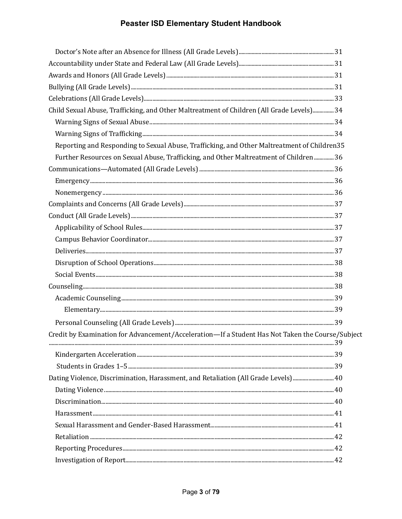| Child Sexual Abuse, Trafficking, and Other Maltreatment of Children (All Grade Levels) 34        |  |
|--------------------------------------------------------------------------------------------------|--|
|                                                                                                  |  |
|                                                                                                  |  |
| Reporting and Responding to Sexual Abuse, Trafficking, and Other Maltreatment of Children35      |  |
| Further Resources on Sexual Abuse, Trafficking, and Other Maltreatment of Children  36           |  |
|                                                                                                  |  |
|                                                                                                  |  |
|                                                                                                  |  |
|                                                                                                  |  |
|                                                                                                  |  |
|                                                                                                  |  |
|                                                                                                  |  |
|                                                                                                  |  |
|                                                                                                  |  |
|                                                                                                  |  |
|                                                                                                  |  |
|                                                                                                  |  |
|                                                                                                  |  |
|                                                                                                  |  |
| Credit by Examination for Advancement/Acceleration-If a Student Has Not Taken the Course/Subject |  |
|                                                                                                  |  |
|                                                                                                  |  |
| 40 Dating Violence, Discrimination, Harassment, and Retaliation (All Grade Levels) 40            |  |
|                                                                                                  |  |
|                                                                                                  |  |
|                                                                                                  |  |
|                                                                                                  |  |
|                                                                                                  |  |
|                                                                                                  |  |
|                                                                                                  |  |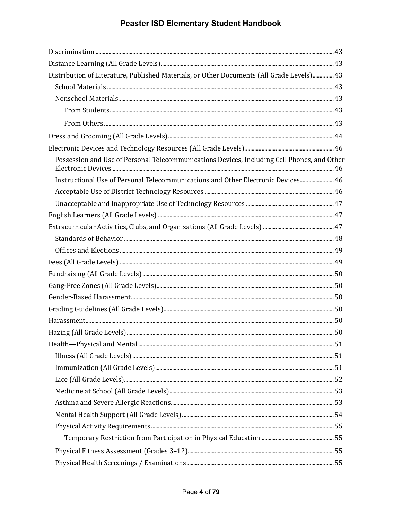| Distribution of Literature, Published Materials, or Other Documents (All Grade Levels) 43   |  |
|---------------------------------------------------------------------------------------------|--|
|                                                                                             |  |
|                                                                                             |  |
|                                                                                             |  |
|                                                                                             |  |
|                                                                                             |  |
|                                                                                             |  |
| Possession and Use of Personal Telecommunications Devices, Including Cell Phones, and Other |  |
| Instructional Use of Personal Telecommunications and Other Electronic Devices 46            |  |
|                                                                                             |  |
|                                                                                             |  |
|                                                                                             |  |
|                                                                                             |  |
|                                                                                             |  |
|                                                                                             |  |
|                                                                                             |  |
|                                                                                             |  |
|                                                                                             |  |
|                                                                                             |  |
|                                                                                             |  |
| $\frac{Harassment150}{Harassment100}$                                                       |  |
|                                                                                             |  |
|                                                                                             |  |
|                                                                                             |  |
|                                                                                             |  |
|                                                                                             |  |
|                                                                                             |  |
|                                                                                             |  |
|                                                                                             |  |
|                                                                                             |  |
|                                                                                             |  |
|                                                                                             |  |
|                                                                                             |  |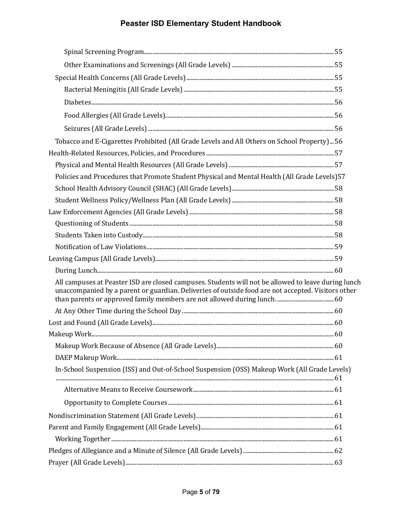| Tobacco and E-Cigarettes Prohibited (All Grade Levels and All Others on School Property) 56                                                                                                               |  |
|-----------------------------------------------------------------------------------------------------------------------------------------------------------------------------------------------------------|--|
|                                                                                                                                                                                                           |  |
|                                                                                                                                                                                                           |  |
| Policies and Procedures that Promote Student Physical and Mental Health (All Grade Levels) 57                                                                                                             |  |
|                                                                                                                                                                                                           |  |
|                                                                                                                                                                                                           |  |
|                                                                                                                                                                                                           |  |
|                                                                                                                                                                                                           |  |
|                                                                                                                                                                                                           |  |
|                                                                                                                                                                                                           |  |
|                                                                                                                                                                                                           |  |
|                                                                                                                                                                                                           |  |
| All campuses at Peaster ISD are closed campuses. Students will not be allowed to leave during lunch<br>unaccompanied by a parent or guardian. Deliveries of outside food are not accepted. Visitors other |  |
|                                                                                                                                                                                                           |  |
|                                                                                                                                                                                                           |  |
|                                                                                                                                                                                                           |  |
|                                                                                                                                                                                                           |  |
|                                                                                                                                                                                                           |  |
| In-School Suspension (ISS) and Out-of-School Suspension (OSS) Makeup Work (All Grade Levels)                                                                                                              |  |
|                                                                                                                                                                                                           |  |
|                                                                                                                                                                                                           |  |
|                                                                                                                                                                                                           |  |
|                                                                                                                                                                                                           |  |
|                                                                                                                                                                                                           |  |
|                                                                                                                                                                                                           |  |
|                                                                                                                                                                                                           |  |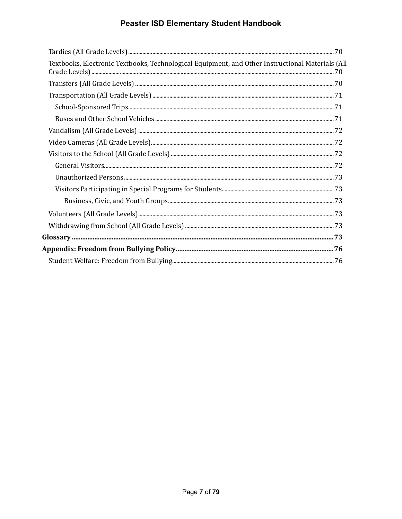| Textbooks, Electronic Textbooks, Technological Equipment, and Other Instructional Materials (Al |
|-------------------------------------------------------------------------------------------------|
|                                                                                                 |
|                                                                                                 |
|                                                                                                 |
|                                                                                                 |
|                                                                                                 |
|                                                                                                 |
|                                                                                                 |
|                                                                                                 |
|                                                                                                 |
|                                                                                                 |
|                                                                                                 |
|                                                                                                 |
|                                                                                                 |
|                                                                                                 |
|                                                                                                 |
|                                                                                                 |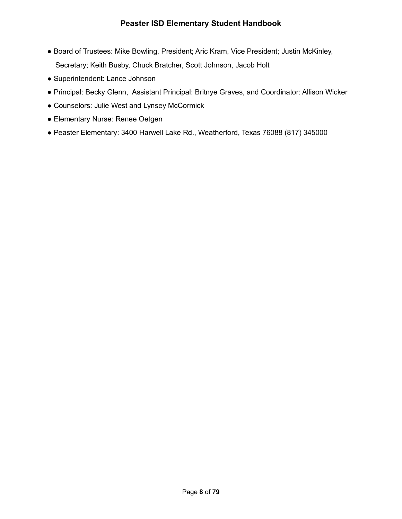- Board of Trustees: Mike Bowling, President; Aric Kram, Vice President; Justin McKinley, Secretary; Keith Busby, Chuck Bratcher, Scott Johnson, Jacob Holt
- Superintendent: Lance Johnson
- Principal: Becky Glenn, Assistant Principal: Britnye Graves, and Coordinator: Allison Wicker
- Counselors: Julie West and Lynsey McCormick
- Elementary Nurse: Renee Oetgen
- Peaster Elementary: 3400 Harwell Lake Rd., Weatherford, Texas 76088 (817) 345000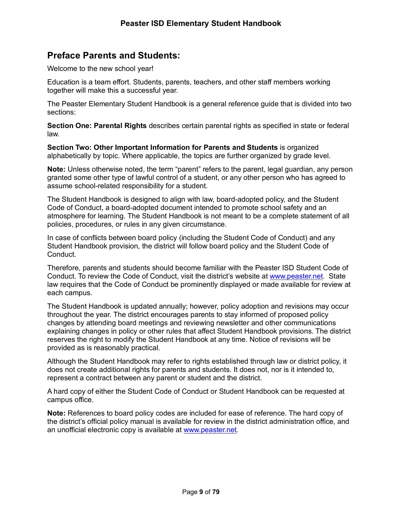# **Preface Parents and Students:**

Welcome to the new school year!

Education is a team effort. Students, parents, teachers, and other staff members working together will make this a successful year.

The Peaster Elementary Student Handbook is a general reference guide that is divided into two sections:

**Section One: Parental Rights** describes certain parental rights as specified in state or federal law.

**Section Two: Other Important Information for Parents and Students** is organized alphabetically by topic. Where applicable, the topics are further organized by grade level.

**Note:** Unless otherwise noted, the term "parent" refers to the parent, legal guardian, any person granted some other type of lawful control of a student, or any other person who has agreed to assume school-related responsibility for a student.

The Student Handbook is designed to align with law, board-adopted policy, and the Student Code of Conduct, a board-adopted document intended to promote school safety and an atmosphere for learning. The Student Handbook is not meant to be a complete statement of all policies, procedures, or rules in any given circumstance.

In case of conflicts between board policy (including the Student Code of Conduct) and any Student Handbook provision, the district will follow board policy and the Student Code of Conduct.

Therefore, parents and students should become familiar with the Peaster ISD Student Code of Conduct. To review the Code of Conduct, visit the district's website at www.peaster.net. State law requires that the Code of Conduct be prominently displayed or made available for review at each campus.

The Student Handbook is updated annually; however, policy adoption and revisions may occur throughout the year. The district encourages parents to stay informed of proposed policy changes by attending board meetings and reviewing newsletter and other communications explaining changes in policy or other rules that affect Student Handbook provisions. The district reserves the right to modify the Student Handbook at any time. Notice of revisions will be provided as is reasonably practical.

Although the Student Handbook may refer to rights established through law or district policy, it does not create additional rights for parents and students. It does not, nor is it intended to, represent a contract between any parent or student and the district.

A hard copy of either the Student Code of Conduct or Student Handbook can be requested at campus office.

**Note:** References to board policy codes are included for ease of reference. The hard copy of the district's official policy manual is available for review in the district administration office, and an unofficial electronic copy is available at www.peaster.net.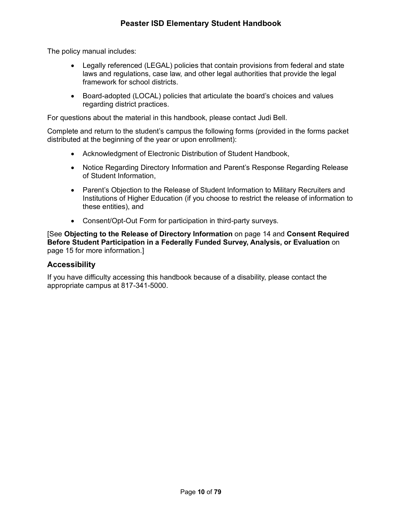The policy manual includes:

- Legally referenced (LEGAL) policies that contain provisions from federal and state laws and regulations, case law, and other legal authorities that provide the legal framework for school districts.
- Board-adopted (LOCAL) policies that articulate the board's choices and values regarding district practices.

For questions about the material in this handbook, please contact Judi Bell.

Complete and return to the student's campus the following forms (provided in the forms packet distributed at the beginning of the year or upon enrollment):

- Acknowledgment of Electronic Distribution of Student Handbook,
- Notice Regarding Directory Information and Parent's Response Regarding Release of Student Information,
- Parent's Objection to the Release of Student Information to Military Recruiters and Institutions of Higher Education (if you choose to restrict the release of information to these entities), and
- Consent/Opt-Out Form for participation in third-party surveys.

[See **Objecting to the Release of Directory Information** on page 14 and **Consent Required Before Student Participation in a Federally Funded Survey, Analysis, or Evaluation** on page 15 for more information.]

#### **Accessibility**

If you have difficulty accessing this handbook because of a disability, please contact the appropriate campus at 817-341-5000.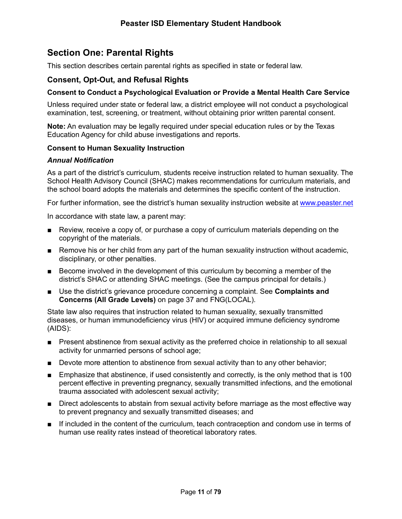# **Section One: Parental Rights**

This section describes certain parental rights as specified in state or federal law.

## **Consent, Opt-Out, and Refusal Rights**

#### **Consent to Conduct a Psychological Evaluation or Provide a Mental Health Care Service**

Unless required under state or federal law, a district employee will not conduct a psychological examination, test, screening, or treatment, without obtaining prior written parental consent.

**Note:** An evaluation may be legally required under special education rules or by the Texas Education Agency for child abuse investigations and reports.

#### **Consent to Human Sexuality Instruction**

#### *Annual Notification*

As a part of the district's curriculum, students receive instruction related to human sexuality. The School Health Advisory Council (SHAC) makes recommendations for curriculum materials, and the school board adopts the materials and determines the specific content of the instruction.

For further information, see the district's human sexuality instruction website at www.peaster.net

In accordance with state law, a parent may:

- Review, receive a copy of, or purchase a copy of curriculum materials depending on the copyright of the materials.
- Remove his or her child from any part of the human sexuality instruction without academic, disciplinary, or other penalties.
- Become involved in the development of this curriculum by becoming a member of the district's SHAC or attending SHAC meetings. (See the campus principal for details.)
- Use the district's grievance procedure concerning a complaint. See **Complaints and Concerns (All Grade Levels)** on page 37 and FNG(LOCAL).

State law also requires that instruction related to human sexuality, sexually transmitted diseases, or human immunodeficiency virus (HIV) or acquired immune deficiency syndrome (AIDS):

- Present abstinence from sexual activity as the preferred choice in relationship to all sexual activity for unmarried persons of school age;
- Devote more attention to abstinence from sexual activity than to any other behavior;
- Emphasize that abstinence, if used consistently and correctly, is the only method that is 100 percent effective in preventing pregnancy, sexually transmitted infections, and the emotional trauma associated with adolescent sexual activity;
- Direct adolescents to abstain from sexual activity before marriage as the most effective way to prevent pregnancy and sexually transmitted diseases; and
- If included in the content of the curriculum, teach contraception and condom use in terms of human use reality rates instead of theoretical laboratory rates.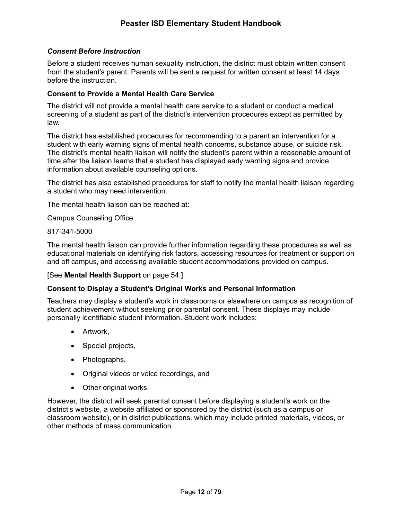#### *Consent Before Instruction*

Before a student receives human sexuality instruction, the district must obtain written consent from the student's parent. Parents will be sent a request for written consent at least 14 days before the instruction.

#### **Consent to Provide a Mental Health Care Service**

The district will not provide a mental health care service to a student or conduct a medical screening of a student as part of the district's intervention procedures except as permitted by law.

The district has established procedures for recommending to a parent an intervention for a student with early warning signs of mental health concerns, substance abuse, or suicide risk. The district's mental health liaison will notify the student's parent within a reasonable amount of time after the liaison learns that a student has displayed early warning signs and provide information about available counseling options.

The district has also established procedures for staff to notify the mental health liaison regarding a student who may need intervention.

The mental health liaison can be reached at:

Campus Counseling Office

817-341-5000

The mental health liaison can provide further information regarding these procedures as well as educational materials on identifying risk factors, accessing resources for treatment or support on and off campus, and accessing available student accommodations provided on campus.

#### [See **Mental Health Support** on page 54.]

#### **Consent to Display a Student's Original Works and Personal Information**

Teachers may display a student's work in classrooms or elsewhere on campus as recognition of student achievement without seeking prior parental consent. These displays may include personally identifiable student information. Student work includes:

- Artwork,
- Special projects,
- Photographs,
- Original videos or voice recordings, and
- Other original works.

However, the district will seek parental consent before displaying a student's work on the district's website, a website affiliated or sponsored by the district (such as a campus or classroom website), or in district publications, which may include printed materials, videos, or other methods of mass communication.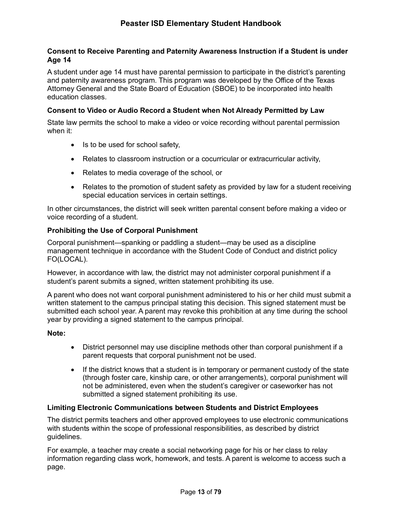#### **Consent to Receive Parenting and Paternity Awareness Instruction if a Student is under Age 14**

A student under age 14 must have parental permission to participate in the district's parenting and paternity awareness program. This program was developed by the Office of the Texas Attorney General and the State Board of Education (SBOE) to be incorporated into health education classes.

#### **Consent to Video or Audio Record a Student when Not Already Permitted by Law**

State law permits the school to make a video or voice recording without parental permission when it:

- Is to be used for school safety,
- Relates to classroom instruction or a cocurricular or extracurricular activity,
- Relates to media coverage of the school, or
- Relates to the promotion of student safety as provided by law for a student receiving special education services in certain settings.

In other circumstances, the district will seek written parental consent before making a video or voice recording of a student.

#### **Prohibiting the Use of Corporal Punishment**

Corporal punishment—spanking or paddling a student—may be used as a discipline management technique in accordance with the Student Code of Conduct and district policy FO(LOCAL).

However, in accordance with law, the district may not administer corporal punishment if a student's parent submits a signed, written statement prohibiting its use.

A parent who does not want corporal punishment administered to his or her child must submit a written statement to the campus principal stating this decision. This signed statement must be submitted each school year. A parent may revoke this prohibition at any time during the school year by providing a signed statement to the campus principal.

#### **Note:**

- District personnel may use discipline methods other than corporal punishment if a parent requests that corporal punishment not be used.
- If the district knows that a student is in temporary or permanent custody of the state (through foster care, kinship care, or other arrangements), corporal punishment will not be administered, even when the student's caregiver or caseworker has not submitted a signed statement prohibiting its use.

#### **Limiting Electronic Communications between Students and District Employees**

The district permits teachers and other approved employees to use electronic communications with students within the scope of professional responsibilities, as described by district guidelines.

For example, a teacher may create a social networking page for his or her class to relay information regarding class work, homework, and tests. A parent is welcome to access such a page.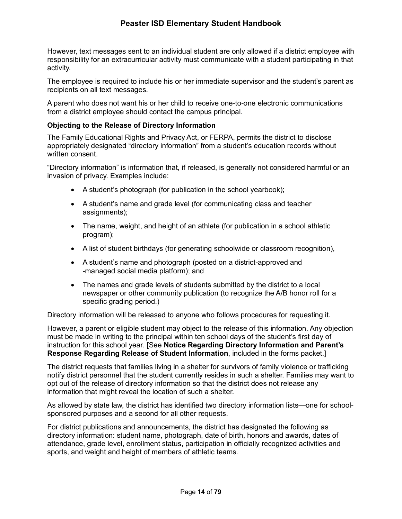However, text messages sent to an individual student are only allowed if a district employee with responsibility for an extracurricular activity must communicate with a student participating in that activity.

The employee is required to include his or her immediate supervisor and the student's parent as recipients on all text messages.

A parent who does not want his or her child to receive one-to-one electronic communications from a district employee should contact the campus principal.

#### **Objecting to the Release of Directory Information**

The Family Educational Rights and Privacy Act, or FERPA, permits the district to disclose appropriately designated "directory information" from a student's education records without written consent.

"Directory information" is information that, if released, is generally not considered harmful or an invasion of privacy. Examples include:

- A student's photograph (for publication in the school yearbook);
- A student's name and grade level (for communicating class and teacher assignments);
- The name, weight, and height of an athlete (for publication in a school athletic program);
- A list of student birthdays (for generating schoolwide or classroom recognition),
- A student's name and photograph (posted on a district-approved and -managed social media platform); and
- The names and grade levels of students submitted by the district to a local newspaper or other community publication (to recognize the A/B honor roll for a specific grading period.)

Directory information will be released to anyone who follows procedures for requesting it.

However, a parent or eligible student may object to the release of this information. Any objection must be made in writing to the principal within ten school days of the student's first day of instruction for this school year*.* [See **Notice Regarding Directory Information and Parent's Response Regarding Release of Student Information**, included in the forms packet.]

The district requests that families living in a shelter for survivors of family violence or trafficking notify district personnel that the student currently resides in such a shelter. Families may want to opt out of the release of directory information so that the district does not release any information that might reveal the location of such a shelter.

As allowed by state law, the district has identified two directory information lists—one for schoolsponsored purposes and a second for all other requests.

For district publications and announcements, the district has designated the following as directory information: student name, photograph, date of birth, honors and awards, dates of attendance, grade level, enrollment status, participation in officially recognized activities and sports, and weight and height of members of athletic teams*.*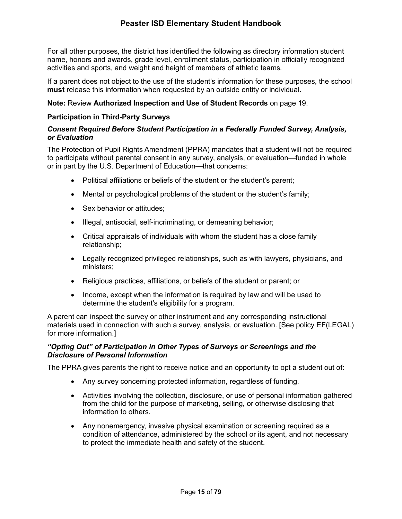For all other purposes, the district has identified the following as directory information student name, honors and awards, grade level, enrollment status, participation in officially recognized activities and sports, and weight and height of members of athletic teams*.*

If a parent does not object to the use of the student's information for these purposes, the school **must** release this information when requested by an outside entity or individual.

#### **Note:** Review **Authorized Inspection and Use of Student Records** on page 19.

#### **Participation in Third-Party Surveys**

#### *Consent Required Before Student Participation in a Federally Funded Survey, Analysis, or Evaluation*

The Protection of Pupil Rights Amendment (PPRA) mandates that a student will not be required to participate without parental consent in any survey, analysis, or evaluation—funded in whole or in part by the U.S. Department of Education—that concerns:

- Political affiliations or beliefs of the student or the student's parent;
- Mental or psychological problems of the student or the student's family;
- Sex behavior or attitudes;
- Illegal, antisocial, self-incriminating, or demeaning behavior;
- Critical appraisals of individuals with whom the student has a close family relationship;
- Legally recognized privileged relationships, such as with lawyers, physicians, and ministers;
- Religious practices, affiliations, or beliefs of the student or parent; or
- Income, except when the information is required by law and will be used to determine the student's eligibility for a program.

A parent can inspect the survey or other instrument and any corresponding instructional materials used in connection with such a survey, analysis, or evaluation. [See policy EF(LEGAL) for more information.]

#### *"Opting Out" of Participation in Other Types of Surveys or Screenings and the Disclosure of Personal Information*

The PPRA gives parents the right to receive notice and an opportunity to opt a student out of:

- Any survey concerning protected information, regardless of funding.
- Activities involving the collection, disclosure, or use of personal information gathered from the child for the purpose of marketing, selling, or otherwise disclosing that information to others.
- Any nonemergency, invasive physical examination or screening required as a condition of attendance, administered by the school or its agent, and not necessary to protect the immediate health and safety of the student.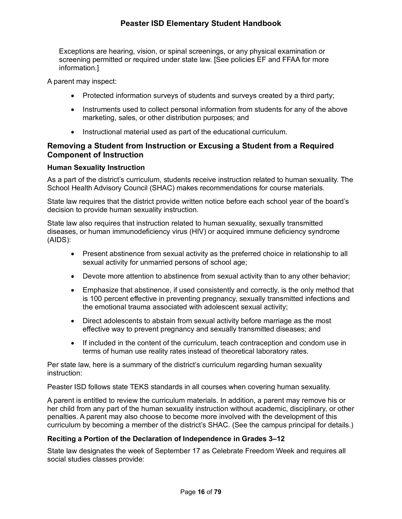Exceptions are hearing, vision, or spinal screenings, or any physical examination or screening permitted or required under state law. [See policies EF and FFAA for more information.]

A parent may inspect:

- Protected information surveys of students and surveys created by a third party;
- Instruments used to collect personal information from students for any of the above marketing, sales, or other distribution purposes; and
- Instructional material used as part of the educational curriculum.

## **Removing a Student from Instruction or Excusing a Student from a Required Component of Instruction**

#### **Human Sexuality Instruction**

As a part of the district's curriculum, students receive instruction related to human sexuality. The School Health Advisory Council (SHAC) makes recommendations for course materials.

State law requires that the district provide written notice before each school year of the board's decision to provide human sexuality instruction.

State law also requires that instruction related to human sexuality, sexually transmitted diseases, or human immunodeficiency virus (HIV) or acquired immune deficiency syndrome (AIDS):

- Present abstinence from sexual activity as the preferred choice in relationship to all sexual activity for unmarried persons of school age;
- Devote more attention to abstinence from sexual activity than to any other behavior;
- Emphasize that abstinence, if used consistently and correctly, is the only method that is 100 percent effective in preventing pregnancy, sexually transmitted infections and the emotional trauma associated with adolescent sexual activity;
- Direct adolescents to abstain from sexual activity before marriage as the most effective way to prevent pregnancy and sexually transmitted diseases; and
- If included in the content of the curriculum, teach contraception and condom use in terms of human use reality rates instead of theoretical laboratory rates.

Per state law, here is a summary of the district's curriculum regarding human sexuality instruction:

Peaster ISD follows state TEKS standards in all courses when covering human sexuality.

A parent is entitled to review the curriculum materials. In addition, a parent may remove his or her child from any part of the human sexuality instruction without academic, disciplinary, or other penalties. A parent may also choose to become more involved with the development of this curriculum by becoming a member of the district's SHAC. (See the campus principal for details.)

#### **Reciting a Portion of the Declaration of Independence in Grades 3–12**

State law designates the week of September 17 as Celebrate Freedom Week and requires all social studies classes provide: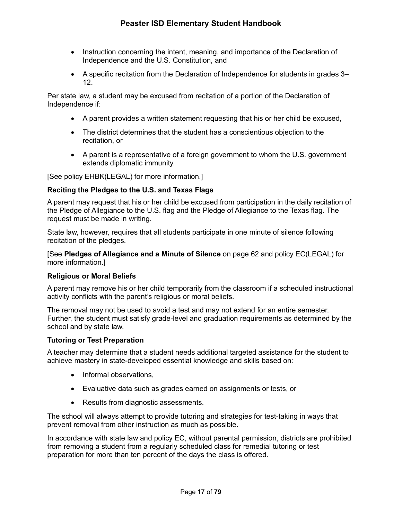- Instruction concerning the intent, meaning, and importance of the Declaration of Independence and the U.S. Constitution, and
- A specific recitation from the Declaration of Independence for students in grades 3– 12.

Per state law, a student may be excused from recitation of a portion of the Declaration of Independence if:

- A parent provides a written statement requesting that his or her child be excused,
- The district determines that the student has a conscientious objection to the recitation, or
- A parent is a representative of a foreign government to whom the U.S. government extends diplomatic immunity.

[See policy EHBK(LEGAL) for more information.]

#### **Reciting the Pledges to the U.S. and Texas Flags**

A parent may request that his or her child be excused from participation in the daily recitation of the Pledge of Allegiance to the U.S. flag and the Pledge of Allegiance to the Texas flag. The request must be made in writing.

State law, however, requires that all students participate in one minute of silence following recitation of the pledges.

[See **Pledges of Allegiance and a Minute of Silence** on page 62 and policy EC(LEGAL) for more information.]

#### **Religious or Moral Beliefs**

A parent may remove his or her child temporarily from the classroom if a scheduled instructional activity conflicts with the parent's religious or moral beliefs.

The removal may not be used to avoid a test and may not extend for an entire semester. Further, the student must satisfy grade-level and graduation requirements as determined by the school and by state law.

#### **Tutoring or Test Preparation**

A teacher may determine that a student needs additional targeted assistance for the student to achieve mastery in state-developed essential knowledge and skills based on:

- Informal observations,
- Evaluative data such as grades earned on assignments or tests, or
- Results from diagnostic assessments.

The school will always attempt to provide tutoring and strategies for test-taking in ways that prevent removal from other instruction as much as possible.

In accordance with state law and policy EC, without parental permission, districts are prohibited from removing a student from a regularly scheduled class for remedial tutoring or test preparation for more than ten percent of the days the class is offered.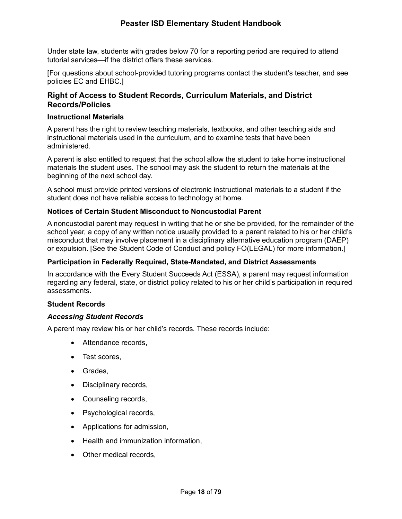Under state law, students with grades below 70 for a reporting period are required to attend tutorial services—if the district offers these services.

[For questions about school-provided tutoring programs contact the student's teacher, and see policies EC and EHBC.]

## **Right of Access to Student Records, Curriculum Materials, and District Records/Policies**

#### **Instructional Materials**

A parent has the right to review teaching materials, textbooks, and other teaching aids and instructional materials used in the curriculum, and to examine tests that have been administered.

A parent is also entitled to request that the school allow the student to take home instructional materials the student uses. The school may ask the student to return the materials at the beginning of the next school day.

A school must provide printed versions of electronic instructional materials to a student if the student does not have reliable access to technology at home.

#### **Notices of Certain Student Misconduct to Noncustodial Parent**

A noncustodial parent may request in writing that he or she be provided, for the remainder of the school year, a copy of any written notice usually provided to a parent related to his or her child's misconduct that may involve placement in a disciplinary alternative education program (DAEP) or expulsion. [See the Student Code of Conduct and policy FO(LEGAL) for more information.]

#### **Participation in Federally Required, State-Mandated, and District Assessments**

In accordance with the Every Student Succeeds Act (ESSA), a parent may request information regarding any federal, state, or district policy related to his or her child's participation in required assessments.

#### **Student Records**

#### *Accessing Student Records*

A parent may review his or her child's records. These records include:

- Attendance records,
- Test scores,
- Grades,
- Disciplinary records,
- Counseling records,
- Psychological records,
- Applications for admission,
- Health and immunization information,
- Other medical records,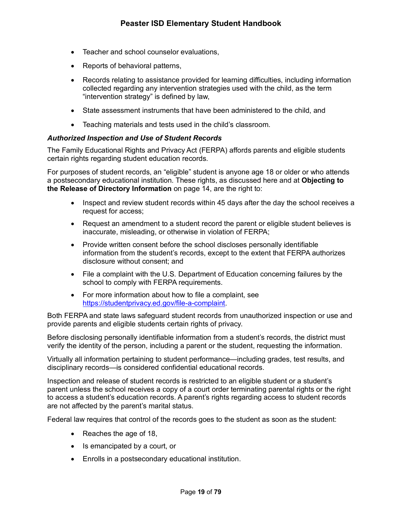- Teacher and school counselor evaluations,
- Reports of behavioral patterns,
- Records relating to assistance provided for learning difficulties, including information collected regarding any intervention strategies used with the child, as the term "intervention strategy" is defined by law,
- State assessment instruments that have been administered to the child, and
- Teaching materials and tests used in the child's classroom.

#### *Authorized Inspection and Use of Student Records*

The Family Educational Rights and Privacy Act (FERPA) affords parents and eligible students certain rights regarding student education records.

For purposes of student records, an "eligible" student is anyone age 18 or older or who attends a postsecondary educational institution. These rights, as discussed here and at **Objecting to the Release of Directory Information** on page 14, are the right to:

- Inspect and review student records within 45 days after the day the school receives a request for access;
- Request an amendment to a student record the parent or eligible student believes is inaccurate, misleading, or otherwise in violation of FERPA;
- Provide written consent before the school discloses personally identifiable information from the student's records, except to the extent that FERPA authorizes disclosure without consent; and
- File a complaint with the U.S. Department of Education concerning failures by the school to comply with FERPA requirements.
- For more information about how to file a complaint, see https://studentprivacy.ed.gov/file-a-complaint.

Both FERPA and state laws safeguard student records from unauthorized inspection or use and provide parents and eligible students certain rights of privacy.

Before disclosing personally identifiable information from a student's records, the district must verify the identity of the person, including a parent or the student, requesting the information.

Virtually all information pertaining to student performance—including grades, test results, and disciplinary records—is considered confidential educational records.

Inspection and release of student records is restricted to an eligible student or a student's parent unless the school receives a copy of a court order terminating parental rights or the right to access a student's education records. A parent's rights regarding access to student records are not affected by the parent's marital status.

Federal law requires that control of the records goes to the student as soon as the student:

- Reaches the age of 18,
- Is emancipated by a court, or
- Enrolls in a postsecondary educational institution.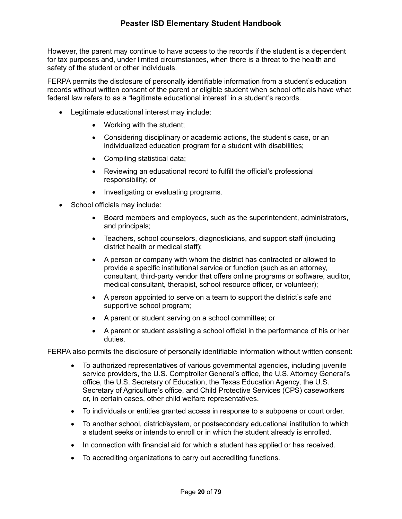However, the parent may continue to have access to the records if the student is a dependent for tax purposes and, under limited circumstances, when there is a threat to the health and safety of the student or other individuals.

FERPA permits the disclosure of personally identifiable information from a student's education records without written consent of the parent or eligible student when school officials have what federal law refers to as a "legitimate educational interest" in a student's records.

- Legitimate educational interest may include:
	- Working with the student;
	- Considering disciplinary or academic actions, the student's case, or an individualized education program for a student with disabilities;
	- Compiling statistical data;
	- Reviewing an educational record to fulfill the official's professional responsibility; or
	- Investigating or evaluating programs.
- School officials may include:
	- Board members and employees, such as the superintendent, administrators, and principals;
	- Teachers, school counselors, diagnosticians, and support staff (including district health or medical staff);
	- A person or company with whom the district has contracted or allowed to provide a specific institutional service or function (such as an attorney, consultant, third-party vendor that offers online programs or software, auditor, medical consultant, therapist, school resource officer, or volunteer);
	- A person appointed to serve on a team to support the district's safe and supportive school program;
	- A parent or student serving on a school committee; or
	- A parent or student assisting a school official in the performance of his or her duties.

FERPA also permits the disclosure of personally identifiable information without written consent:

- To authorized representatives of various governmental agencies, including juvenile service providers, the U.S. Comptroller General's office, the U.S. Attorney General's office, the U.S. Secretary of Education, the Texas Education Agency, the U.S. Secretary of Agriculture's office, and Child Protective Services (CPS) caseworkers or, in certain cases, other child welfare representatives.
- To individuals or entities granted access in response to a subpoena or court order.
- To another school, district/system, or postsecondary educational institution to which a student seeks or intends to enroll or in which the student already is enrolled.
- In connection with financial aid for which a student has applied or has received.
- To accrediting organizations to carry out accrediting functions.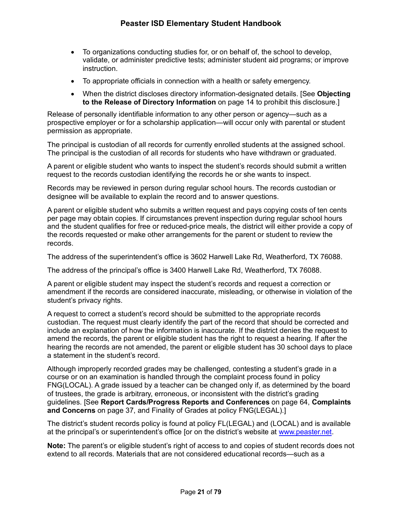- To organizations conducting studies for, or on behalf of, the school to develop, validate, or administer predictive tests; administer student aid programs; or improve instruction.
- To appropriate officials in connection with a health or safety emergency.
- When the district discloses directory information-designated details. [See **Objecting to the Release of Directory Information** on page 14 to prohibit this disclosure.]

Release of personally identifiable information to any other person or agency—such as a prospective employer or for a scholarship application—will occur only with parental or student permission as appropriate.

The principal is custodian of all records for currently enrolled students at the assigned school. The principal is the custodian of all records for students who have withdrawn or graduated.

A parent or eligible student who wants to inspect the student's records should submit a written request to the records custodian identifying the records he or she wants to inspect.

Records may be reviewed in person during regular school hours. The records custodian or designee will be available to explain the record and to answer questions.

A parent or eligible student who submits a written request and pays copying costs of ten cents per page may obtain copies. If circumstances prevent inspection during regular school hours and the student qualifies for free or reduced-price meals, the district will either provide a copy of the records requested or make other arrangements for the parent or student to review the records.

The address of the superintendent's office is 3602 Harwell Lake Rd, Weatherford, TX 76088.

The address of the principal's office is 3400 Harwell Lake Rd, Weatherford, TX 76088.

A parent or eligible student may inspect the student's records and request a correction or amendment if the records are considered inaccurate, misleading, or otherwise in violation of the student's privacy rights.

A request to correct a student's record should be submitted to the appropriate records custodian. The request must clearly identify the part of the record that should be corrected and include an explanation of how the information is inaccurate. If the district denies the request to amend the records, the parent or eligible student has the right to request a hearing. If after the hearing the records are not amended, the parent or eligible student has 30 school days to place a statement in the student's record.

Although improperly recorded grades may be challenged, contesting a student's grade in a course or on an examination is handled through the complaint process found in policy FNG(LOCAL). A grade issued by a teacher can be changed only if, as determined by the board of trustees, the grade is arbitrary, erroneous, or inconsistent with the district's grading guidelines. [See **Report Cards/Progress Reports and Conferences** on page 64, **Complaints and Concerns** on page 37, and Finality of Grades at policy FNG(LEGAL).]

The district's student records policy is found at policy FL(LEGAL) and (LOCAL) and is available at the principal's or superintendent's office [or on the district's website at www.peaster.net.

**Note:** The parent's or eligible student's right of access to and copies of student records does not extend to all records. Materials that are not considered educational records—such as a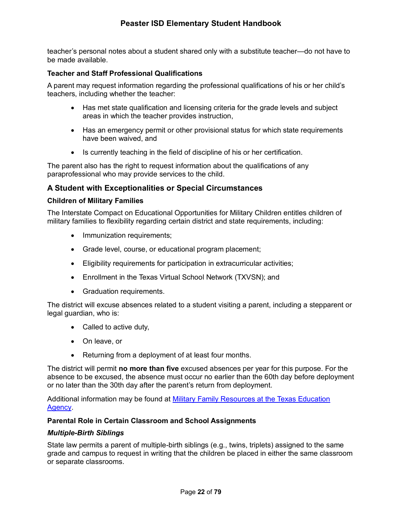teacher's personal notes about a student shared only with a substitute teacher—do not have to be made available.

#### **Teacher and Staff Professional Qualifications**

A parent may request information regarding the professional qualifications of his or her child's teachers, including whether the teacher:

- Has met state qualification and licensing criteria for the grade levels and subject areas in which the teacher provides instruction,
- Has an emergency permit or other provisional status for which state requirements have been waived, and
- Is currently teaching in the field of discipline of his or her certification.

The parent also has the right to request information about the qualifications of any paraprofessional who may provide services to the child.

## **A Student with Exceptionalities or Special Circumstances**

#### **Children of Military Families**

The Interstate Compact on Educational Opportunities for Military Children entitles children of military families to flexibility regarding certain district and state requirements, including:

- Immunization requirements;
- Grade level, course, or educational program placement;
- Eligibility requirements for participation in extracurricular activities;
- Enrollment in the Texas Virtual School Network (TXVSN); and
- Graduation requirements.

The district will excuse absences related to a student visiting a parent, including a stepparent or legal guardian, who is:

- Called to active duty,
- On leave, or
- Returning from a deployment of at least four months.

The district will permit **no more than five** excused absences per year for this purpose. For the absence to be excused, the absence must occur no earlier than the 60th day before deployment or no later than the 30th day after the parent's return from deployment.

Additional information may be found at Military Family Resources at the Texas Education Agency.

#### **Parental Role in Certain Classroom and School Assignments**

#### *Multiple-Birth Siblings*

State law permits a parent of multiple-birth siblings (e.g., twins, triplets) assigned to the same grade and campus to request in writing that the children be placed in either the same classroom or separate classrooms.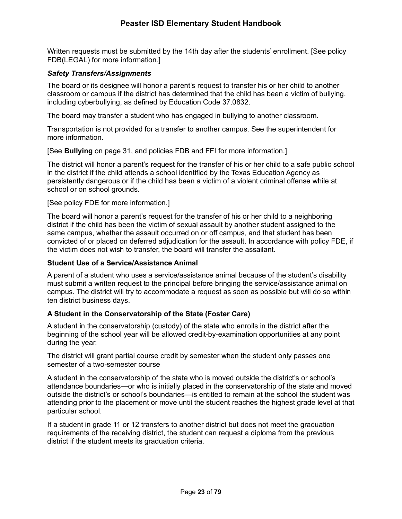Written requests must be submitted by the 14th day after the students' enrollment. [See policy FDB(LEGAL) for more information.]

#### *Safety Transfers/Assignments*

The board or its designee will honor a parent's request to transfer his or her child to another classroom or campus if the district has determined that the child has been a victim of bullying, including cyberbullying, as defined by Education Code 37.0832.

The board may transfer a student who has engaged in bullying to another classroom.

Transportation is not provided for a transfer to another campus. See the superintendent for more information.

[See **Bullying** on page 31, and policies FDB and FFI for more information.]

The district will honor a parent's request for the transfer of his or her child to a safe public school in the district if the child attends a school identified by the Texas Education Agency as persistently dangerous or if the child has been a victim of a violent criminal offense while at school or on school grounds.

[See policy FDE for more information.]

The board will honor a parent's request for the transfer of his or her child to a neighboring district if the child has been the victim of sexual assault by another student assigned to the same campus, whether the assault occurred on or off campus, and that student has been convicted of or placed on deferred adjudication for the assault. In accordance with policy FDE, if the victim does not wish to transfer, the board will transfer the assailant.

#### **Student Use of a Service/Assistance Animal**

A parent of a student who uses a service/assistance animal because of the student's disability must submit a written request to the principal before bringing the service/assistance animal on campus. The district will try to accommodate a request as soon as possible but will do so within ten district business days.

#### **A Student in the Conservatorship of the State (Foster Care)**

A student in the conservatorship (custody) of the state who enrolls in the district after the beginning of the school year will be allowed credit-by-examination opportunities at any point during the year.

The district will grant partial course credit by semester when the student only passes one semester of a two-semester course

A student in the conservatorship of the state who is moved outside the district's or school's attendance boundaries—or who is initially placed in the conservatorship of the state and moved outside the district's or school's boundaries—is entitled to remain at the school the student was attending prior to the placement or move until the student reaches the highest grade level at that particular school.

If a student in grade 11 or 12 transfers to another district but does not meet the graduation requirements of the receiving district, the student can request a diploma from the previous district if the student meets its graduation criteria.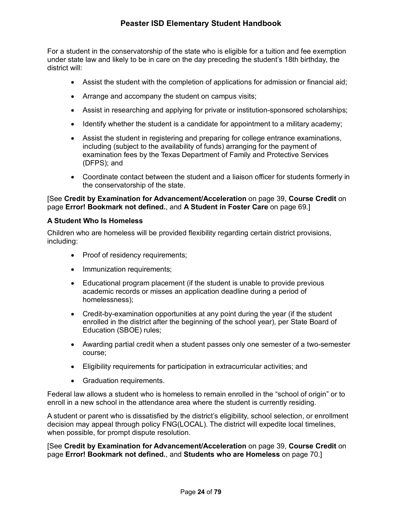For a student in the conservatorship of the state who is eligible for a tuition and fee exemption under state law and likely to be in care on the day preceding the student's 18th birthday, the district will:

- Assist the student with the completion of applications for admission or financial aid;
- Arrange and accompany the student on campus visits;
- Assist in researching and applying for private or institution-sponsored scholarships;
- Identify whether the student is a candidate for appointment to a military academy;
- Assist the student in registering and preparing for college entrance examinations, including (subject to the availability of funds) arranging for the payment of examination fees by the Texas Department of Family and Protective Services (DFPS); and
- Coordinate contact between the student and a liaison officer for students formerly in the conservatorship of the state.

#### [See **Credit by Examination for Advancement/Acceleration** on page 39, **Course Credit** on page **Error! Bookmark not defined.**, and **A Student in Foster Care** on page 69.]

#### **A Student Who Is Homeless**

Children who are homeless will be provided flexibility regarding certain district provisions, including:

- Proof of residency requirements;
- Immunization requirements;
- Educational program placement (if the student is unable to provide previous academic records or misses an application deadline during a period of homelessness);
- Credit-by-examination opportunities at any point during the year (if the student enrolled in the district after the beginning of the school year), per State Board of Education (SBOE) rules;
- Awarding partial credit when a student passes only one semester of a two-semester course;
- Eligibility requirements for participation in extracurricular activities; and
- Graduation requirements.

Federal law allows a student who is homeless to remain enrolled in the "school of origin" or to enroll in a new school in the attendance area where the student is currently residing.

A student or parent who is dissatisfied by the district's eligibility, school selection, or enrollment decision may appeal through policy FNG(LOCAL). The district will expedite local timelines, when possible, for prompt dispute resolution.

[See **Credit by Examination for Advancement/Acceleration** on page 39, **Course Credit** on page **Error! Bookmark not defined.**, and **Students who are Homeless** on page 70.]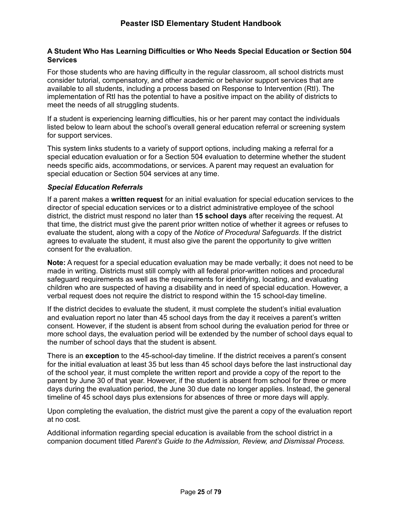#### **A Student Who Has Learning Difficulties or Who Needs Special Education or Section 504 Services**

For those students who are having difficulty in the regular classroom, all school districts must consider tutorial, compensatory, and other academic or behavior support services that are available to all students, including a process based on Response to Intervention (RtI). The implementation of RtI has the potential to have a positive impact on the ability of districts to meet the needs of all struggling students.

If a student is experiencing learning difficulties, his or her parent may contact the individuals listed below to learn about the school's overall general education referral or screening system for support services.

This system links students to a variety of support options, including making a referral for a special education evaluation or for a Section 504 evaluation to determine whether the student needs specific aids, accommodations, or services. A parent may request an evaluation for special education or Section 504 services at any time.

#### *Special Education Referrals*

If a parent makes a **written request** for an initial evaluation for special education services to the director of special education services or to a district administrative employee of the school district, the district must respond no later than **15 school days** after receiving the request. At that time, the district must give the parent prior written notice of whether it agrees or refuses to evaluate the student, along with a copy of the *Notice of Procedural Safeguards*. If the district agrees to evaluate the student, it must also give the parent the opportunity to give written consent for the evaluation.

**Note:** A request for a special education evaluation may be made verbally; it does not need to be made in writing. Districts must still comply with all federal prior-written notices and procedural safeguard requirements as well as the requirements for identifying, locating, and evaluating children who are suspected of having a disability and in need of special education. However, a verbal request does not require the district to respond within the 15 school-day timeline.

If the district decides to evaluate the student, it must complete the student's initial evaluation and evaluation report no later than 45 school days from the day it receives a parent's written consent. However, if the student is absent from school during the evaluation period for three or more school days, the evaluation period will be extended by the number of school days equal to the number of school days that the student is absent.

There is an **exception** to the 45-school-day timeline. If the district receives a parent's consent for the initial evaluation at least 35 but less than 45 school days before the last instructional day of the school year, it must complete the written report and provide a copy of the report to the parent by June 30 of that year. However, if the student is absent from school for three or more days during the evaluation period, the June 30 due date no longer applies. Instead, the general timeline of 45 school days plus extensions for absences of three or more days will apply.

Upon completing the evaluation, the district must give the parent a copy of the evaluation report at no cost.

Additional information regarding special education is available from the school district in a companion document titled *Parent's Guide to the Admission, Review, and Dismissal Process*.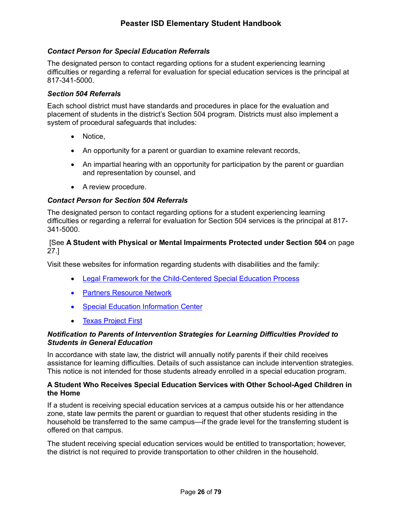#### *Contact Person for Special Education Referrals*

The designated person to contact regarding options for a student experiencing learning difficulties or regarding a referral for evaluation for special education services is the principal at 817-341-5000.

#### *Section 504 Referrals*

Each school district must have standards and procedures in place for the evaluation and placement of students in the district's Section 504 program. Districts must also implement a system of procedural safeguards that includes:

- Notice,
- An opportunity for a parent or guardian to examine relevant records,
- An impartial hearing with an opportunity for participation by the parent or guardian and representation by counsel, and
- A review procedure.

#### *Contact Person for Section 504 Referrals*

The designated person to contact regarding options for a student experiencing learning difficulties or regarding a referral for evaluation for Section 504 services is the principal at 817- 341-5000.

#### [See **A Student with Physical or Mental Impairments Protected under Section 504** on page 27.]

Visit these websites for information regarding students with disabilities and the family:

- Legal Framework for the Child-Centered Special Education Process
- Partners Resource Network
- Special Education Information Center
- Texas Project First

#### *Notification to Parents of Intervention Strategies for Learning Difficulties Provided to Students in General Education*

In accordance with state law, the district will annually notify parents if their child receives assistance for learning difficulties. Details of such assistance can include intervention strategies. This notice is not intended for those students already enrolled in a special education program.

#### **A Student Who Receives Special Education Services with Other School-Aged Children in the Home**

If a student is receiving special education services at a campus outside his or her attendance zone, state law permits the parent or guardian to request that other students residing in the household be transferred to the same campus—if the grade level for the transferring student is offered on that campus.

The student receiving special education services would be entitled to transportation; however, the district is not required to provide transportation to other children in the household.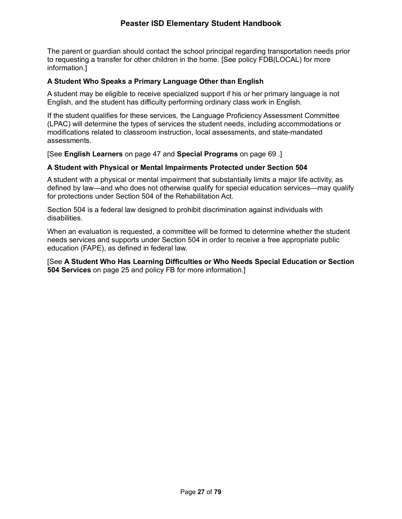The parent or guardian should contact the school principal regarding transportation needs prior to requesting a transfer for other children in the home. [See policy FDB(LOCAL) for more information.]

#### **A Student Who Speaks a Primary Language Other than English**

A student may be eligible to receive specialized support if his or her primary language is not English, and the student has difficulty performing ordinary class work in English.

If the student qualifies for these services, the Language Proficiency Assessment Committee (LPAC) will determine the types of services the student needs, including accommodations or modifications related to classroom instruction, local assessments, and state-mandated assessments.

[See **English Learners** on page 47 and **Special Programs** on page 69 .]

#### **A Student with Physical or Mental Impairments Protected under Section 504**

A student with a physical or mental impairment that substantially limits a major life activity, as defined by law—and who does not otherwise qualify for special education services—may qualify for protections under Section 504 of the Rehabilitation Act.

Section 504 is a federal law designed to prohibit discrimination against individuals with disabilities.

When an evaluation is requested, a committee will be formed to determine whether the student needs services and supports under Section 504 in order to receive a free appropriate public education (FAPE), as defined in federal law.

#### [See **A Student Who Has Learning Difficulties or Who Needs Special Education or Section 504 Services** on page 25 and policy FB for more information.]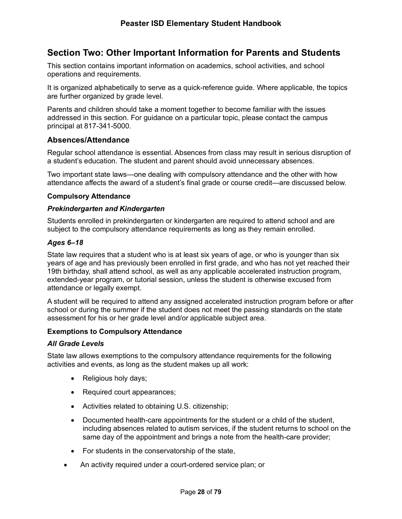# **Section Two: Other Important Information for Parents and Students**

This section contains important information on academics, school activities, and school operations and requirements.

It is organized alphabetically to serve as a quick-reference guide. Where applicable, the topics are further organized by grade level.

Parents and children should take a moment together to become familiar with the issues addressed in this section. For guidance on a particular topic, please contact the campus principal at 817-341-5000.

#### **Absences/Attendance**

Regular school attendance is essential. Absences from class may result in serious disruption of a student's education. The student and parent should avoid unnecessary absences.

Two important state laws—one dealing with compulsory attendance and the other with how attendance affects the award of a student's final grade or course credit—are discussed below.

#### **Compulsory Attendance**

#### *Prekindergarten and Kindergarten*

Students enrolled in prekindergarten or kindergarten are required to attend school and are subject to the compulsory attendance requirements as long as they remain enrolled.

#### *Ages 6–18*

State law requires that a student who is at least six years of age, or who is younger than six years of age and has previously been enrolled in first grade, and who has not yet reached their 19th birthday, shall attend school, as well as any applicable accelerated instruction program, extended-year program, or tutorial session, unless the student is otherwise excused from attendance or legally exempt.

A student will be required to attend any assigned accelerated instruction program before or after school or during the summer if the student does not meet the passing standards on the state assessment for his or her grade level and/or applicable subject area.

#### **Exemptions to Compulsory Attendance**

#### *All Grade Levels*

State law allows exemptions to the compulsory attendance requirements for the following activities and events, as long as the student makes up all work:

- Religious holy days;
- Required court appearances;
- Activities related to obtaining U.S. citizenship;
- Documented health-care appointments for the student or a child of the student, including absences related to autism services, if the student returns to school on the same day of the appointment and brings a note from the health-care provider;
- For students in the conservatorship of the state,
- An activity required under a court-ordered service plan; or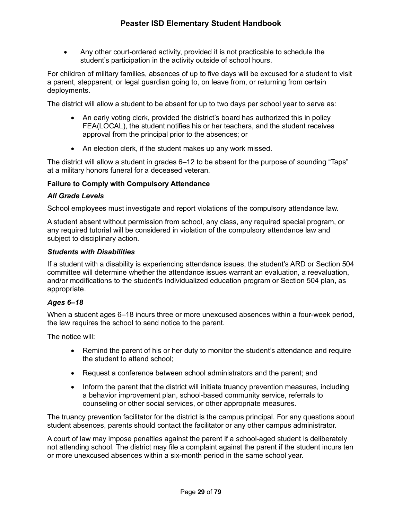• Any other court-ordered activity, provided it is not practicable to schedule the student's participation in the activity outside of school hours.

For children of military families, absences of up to five days will be excused for a student to visit a parent, stepparent, or legal guardian going to, on leave from, or returning from certain deployments.

The district will allow a student to be absent for up to two days per school year to serve as:

- An early voting clerk, provided the district's board has authorized this in policy FEA(LOCAL), the student notifies his or her teachers, and the student receives approval from the principal prior to the absences; or
- An election clerk, if the student makes up any work missed.

The district will allow a student in grades 6–12 to be absent for the purpose of sounding "Taps" at a military honors funeral for a deceased veteran.

#### **Failure to Comply with Compulsory Attendance**

#### *All Grade Levels*

School employees must investigate and report violations of the compulsory attendance law.

A student absent without permission from school, any class, any required special program, or any required tutorial will be considered in violation of the compulsory attendance law and subject to disciplinary action.

#### *Students with Disabilities*

If a student with a disability is experiencing attendance issues, the student's ARD or Section 504 committee will determine whether the attendance issues warrant an evaluation, a reevaluation, and/or modifications to the student's individualized education program or Section 504 plan, as appropriate.

#### *Ages 6–18*

When a student ages 6–18 incurs three or more unexcused absences within a four-week period, the law requires the school to send notice to the parent.

The notice will:

- Remind the parent of his or her duty to monitor the student's attendance and require the student to attend school;
- Request a conference between school administrators and the parent; and
- Inform the parent that the district will initiate truancy prevention measures, including a behavior improvement plan, school-based community service, referrals to counseling or other social services, or other appropriate measures.

The truancy prevention facilitator for the district is the campus principal. For any questions about student absences, parents should contact the facilitator or any other campus administrator.

A court of law may impose penalties against the parent if a school-aged student is deliberately not attending school. The district may file a complaint against the parent if the student incurs ten or more unexcused absences within a six-month period in the same school year.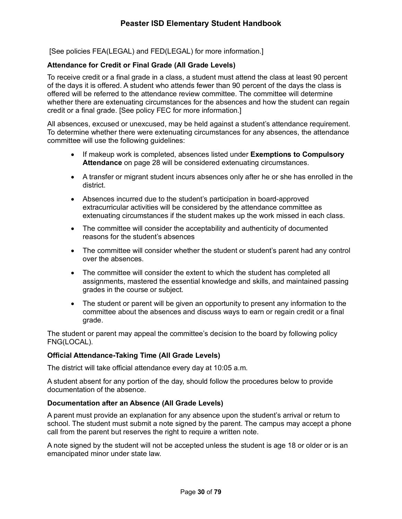[See policies FEA(LEGAL) and FED(LEGAL) for more information.]

#### **Attendance for Credit or Final Grade (All Grade Levels)**

To receive credit or a final grade in a class, a student must attend the class at least 90 percent of the days it is offered. A student who attends fewer than 90 percent of the days the class is offered will be referred to the attendance review committee. The committee will determine whether there are extenuating circumstances for the absences and how the student can regain credit or a final grade. [See policy FEC for more information.]

All absences, excused or unexcused, may be held against a student's attendance requirement. To determine whether there were extenuating circumstances for any absences, the attendance committee will use the following guidelines:

- If makeup work is completed, absences listed under **Exemptions to Compulsory Attendance** on page 28 will be considered extenuating circumstances.
- A transfer or migrant student incurs absences only after he or she has enrolled in the district.
- Absences incurred due to the student's participation in board-approved extracurricular activities will be considered by the attendance committee as extenuating circumstances if the student makes up the work missed in each class.
- The committee will consider the acceptability and authenticity of documented reasons for the student's absences
- The committee will consider whether the student or student's parent had any control over the absences.
- The committee will consider the extent to which the student has completed all assignments, mastered the essential knowledge and skills, and maintained passing grades in the course or subject.
- The student or parent will be given an opportunity to present any information to the committee about the absences and discuss ways to earn or regain credit or a final grade.

The student or parent may appeal the committee's decision to the board by following policy FNG(LOCAL).

#### **Official Attendance-Taking Time (All Grade Levels)**

The district will take official attendance every day at 10:05 a.m.

A student absent for any portion of the day, should follow the procedures below to provide documentation of the absence.

#### **Documentation after an Absence (All Grade Levels)**

A parent must provide an explanation for any absence upon the student's arrival or return to school. The student must submit a note signed by the parent. The campus may accept a phone call from the parent but reserves the right to require a written note.

A note signed by the student will not be accepted unless the student is age 18 or older or is an emancipated minor under state law.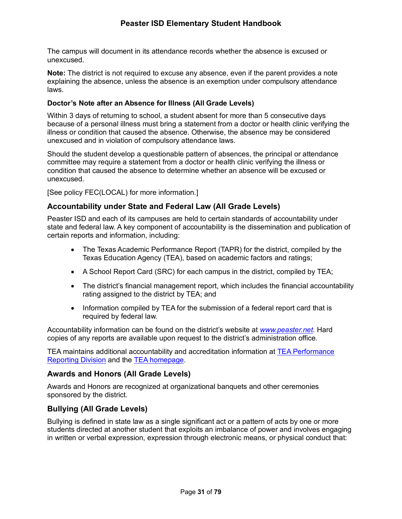The campus will document in its attendance records whether the absence is excused or unexcused.

**Note:** The district is not required to excuse any absence, even if the parent provides a note explaining the absence, unless the absence is an exemption under compulsory attendance laws.

#### **Doctor's Note after an Absence for Illness (All Grade Levels)**

Within 3 days of returning to school, a student absent for more than 5 consecutive days because of a personal illness must bring a statement from a doctor or health clinic verifying the illness or condition that caused the absence. Otherwise, the absence may be considered unexcused and in violation of compulsory attendance laws.

Should the student develop a questionable pattern of absences, the principal or attendance committee may require a statement from a doctor or health clinic verifying the illness or condition that caused the absence to determine whether an absence will be excused or unexcused.

[See policy FEC(LOCAL) for more information.]

#### **Accountability under State and Federal Law (All Grade Levels)**

Peaster ISD and each of its campuses are held to certain standards of accountability under state and federal law. A key component of accountability is the dissemination and publication of certain reports and information, including:

- The Texas Academic Performance Report (TAPR) for the district, compiled by the Texas Education Agency (TEA), based on academic factors and ratings;
- A School Report Card (SRC) for each campus in the district, compiled by TEA;
- The district's financial management report, which includes the financial accountability rating assigned to the district by TEA; and
- Information compiled by TEA for the submission of a federal report card that is required by federal law.

Accountability information can be found on the district's website at *www.peaster.net.* Hard copies of any reports are available upon request to the district's administration office.

TEA maintains additional accountability and accreditation information at TEA Performance Reporting Division and the TEA homepage.

#### **Awards and Honors (All Grade Levels)**

Awards and Honors are recognized at organizational banquets and other ceremonies sponsored by the district.

#### **Bullying (All Grade Levels)**

Bullying is defined in state law as a single significant act or a pattern of acts by one or more students directed at another student that exploits an imbalance of power and involves engaging in written or verbal expression, expression through electronic means, or physical conduct that: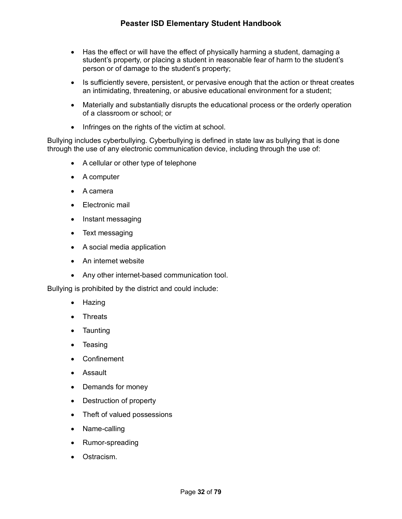- Has the effect or will have the effect of physically harming a student, damaging a student's property, or placing a student in reasonable fear of harm to the student's person or of damage to the student's property;
- Is sufficiently severe, persistent, or pervasive enough that the action or threat creates an intimidating, threatening, or abusive educational environment for a student;
- Materially and substantially disrupts the educational process or the orderly operation of a classroom or school; or
- Infringes on the rights of the victim at school.

Bullying includes cyberbullying. Cyberbullying is defined in state law as bullying that is done through the use of any electronic communication device, including through the use of:

- A cellular or other type of telephone
- A computer
- A camera
- Electronic mail
- Instant messaging
- Text messaging
- A social media application
- An internet website
- Any other internet-based communication tool.

Bullying is prohibited by the district and could include:

- Hazing
- Threats
- Taunting
- Teasing
- Confinement
- Assault
- Demands for money
- Destruction of property
- Theft of valued possessions
- Name-calling
- Rumor-spreading
- Ostracism.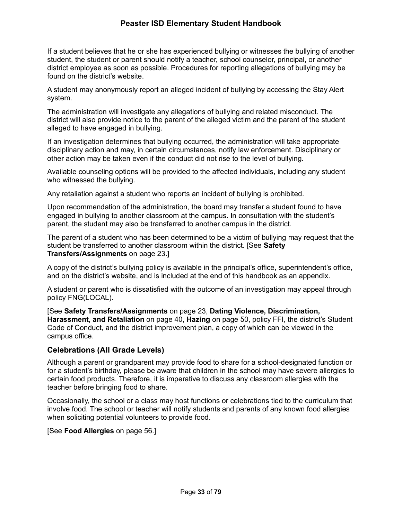If a student believes that he or she has experienced bullying or witnesses the bullying of another student, the student or parent should notify a teacher, school counselor, principal, or another district employee as soon as possible. Procedures for reporting allegations of bullying may be found on the district's website.

A student may anonymously report an alleged incident of bullying by accessing the Stay Alert system.

The administration will investigate any allegations of bullying and related misconduct. The district will also provide notice to the parent of the alleged victim and the parent of the student alleged to have engaged in bullying.

If an investigation determines that bullying occurred, the administration will take appropriate disciplinary action and may, in certain circumstances, notify law enforcement. Disciplinary or other action may be taken even if the conduct did not rise to the level of bullying.

Available counseling options will be provided to the affected individuals, including any student who witnessed the bullying.

Any retaliation against a student who reports an incident of bullying is prohibited.

Upon recommendation of the administration, the board may transfer a student found to have engaged in bullying to another classroom at the campus. In consultation with the student's parent, the student may also be transferred to another campus in the district.

The parent of a student who has been determined to be a victim of bullying may request that the student be transferred to another classroom within the district. [See **Safety Transfers/Assignments** on page 23.]

A copy of the district's bullying policy is available in the principal's office, superintendent's office, and on the district's website, and is included at the end of this handbook as an appendix.

A student or parent who is dissatisfied with the outcome of an investigation may appeal through policy FNG(LOCAL).

[See **Safety Transfers/Assignments** on page 23, **Dating Violence, Discrimination, Harassment, and Retaliation** on page 40, **Hazing** on page 50, policy FFI, the district's Student Code of Conduct, and the district improvement plan, a copy of which can be viewed in the campus office.

#### **Celebrations (All Grade Levels)**

Although a parent or grandparent may provide food to share for a school-designated function or for a student's birthday, please be aware that children in the school may have severe allergies to certain food products. Therefore, it is imperative to discuss any classroom allergies with the teacher before bringing food to share.

Occasionally, the school or a class may host functions or celebrations tied to the curriculum that involve food. The school or teacher will notify students and parents of any known food allergies when soliciting potential volunteers to provide food.

[See **Food Allergies** on page 56.]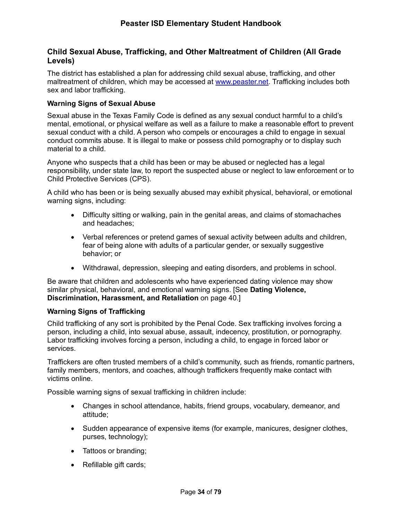## **Child Sexual Abuse, Trafficking, and Other Maltreatment of Children (All Grade Levels)**

The district has established a plan for addressing child sexual abuse, trafficking, and other maltreatment of children, which may be accessed at www.peaster.net. Trafficking includes both sex and labor trafficking.

#### **Warning Signs of Sexual Abuse**

Sexual abuse in the Texas Family Code is defined as any sexual conduct harmful to a child's mental, emotional, or physical welfare as well as a failure to make a reasonable effort to prevent sexual conduct with a child. A person who compels or encourages a child to engage in sexual conduct commits abuse. It is illegal to make or possess child pornography or to display such material to a child.

Anyone who suspects that a child has been or may be abused or neglected has a legal responsibility, under state law, to report the suspected abuse or neglect to law enforcement or to Child Protective Services (CPS).

A child who has been or is being sexually abused may exhibit physical, behavioral, or emotional warning signs, including:

- Difficulty sitting or walking, pain in the genital areas, and claims of stomachaches and headaches;
- Verbal references or pretend games of sexual activity between adults and children, fear of being alone with adults of a particular gender, or sexually suggestive behavior; or
- Withdrawal, depression, sleeping and eating disorders, and problems in school.

Be aware that children and adolescents who have experienced dating violence may show similar physical, behavioral, and emotional warning signs. [See **Dating Violence, Discrimination, Harassment, and Retaliation** on page 40.]

#### **Warning Signs of Trafficking**

Child trafficking of any sort is prohibited by the Penal Code. Sex trafficking involves forcing a person, including a child, into sexual abuse, assault, indecency, prostitution, or pornography. Labor trafficking involves forcing a person, including a child, to engage in forced labor or services.

Traffickers are often trusted members of a child's community, such as friends, romantic partners, family members, mentors, and coaches, although traffickers frequently make contact with victims online.

Possible warning signs of sexual trafficking in children include:

- Changes in school attendance, habits, friend groups, vocabulary, demeanor, and attitude;
- Sudden appearance of expensive items (for example, manicures, designer clothes, purses, technology);
- Tattoos or branding;
- Refillable gift cards;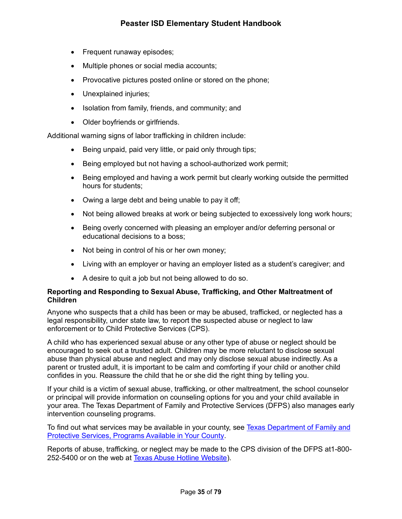- Frequent runaway episodes;
- Multiple phones or social media accounts;
- Provocative pictures posted online or stored on the phone;
- Unexplained injuries;
- Isolation from family, friends, and community; and
- Older boyfriends or girlfriends.

Additional warning signs of labor trafficking in children include:

- Being unpaid, paid very little, or paid only through tips;
- Being employed but not having a school-authorized work permit;
- Being employed and having a work permit but clearly working outside the permitted hours for students;
- Owing a large debt and being unable to pay it off;
- Not being allowed breaks at work or being subjected to excessively long work hours;
- Being overly concerned with pleasing an employer and/or deferring personal or educational decisions to a boss;
- Not being in control of his or her own money;
- Living with an employer or having an employer listed as a student's caregiver; and
- A desire to quit a job but not being allowed to do so.

#### **Reporting and Responding to Sexual Abuse, Trafficking, and Other Maltreatment of Children**

Anyone who suspects that a child has been or may be abused, trafficked, or neglected has a legal responsibility, under state law, to report the suspected abuse or neglect to law enforcement or to Child Protective Services (CPS).

A child who has experienced sexual abuse or any other type of abuse or neglect should be encouraged to seek out a trusted adult. Children may be more reluctant to disclose sexual abuse than physical abuse and neglect and may only disclose sexual abuse indirectly. As a parent or trusted adult, it is important to be calm and comforting if your child or another child confides in you. Reassure the child that he or she did the right thing by telling you.

If your child is a victim of sexual abuse, trafficking, or other maltreatment, the school counselor or principal will provide information on counseling options for you and your child available in your area. The Texas Department of Family and Protective Services (DFPS) also manages early intervention counseling programs.

To find out what services may be available in your county, see Texas Department of Family and Protective Services, Programs Available in Your County.

Reports of abuse, trafficking, or neglect may be made to the CPS division of the DFPS at1-800- 252-5400 or on the web at Texas Abuse Hotline Website).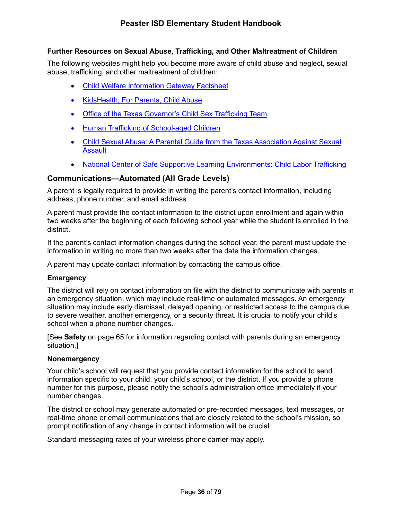## **Further Resources on Sexual Abuse, Trafficking, and Other Maltreatment of Children**

The following websites might help you become more aware of child abuse and neglect, sexual abuse, trafficking, and other maltreatment of children:

- Child Welfare Information Gateway Factsheet
- KidsHealth, For Parents, Child Abuse
- Office of the Texas Governor's Child Sex Trafficking Team
- Human Trafficking of School-aged Children
- Child Sexual Abuse: A Parental Guide from the Texas Association Against Sexual **Assault**
- National Center of Safe Supportive Learning Environments: Child Labor Trafficking

### **Communications—Automated (All Grade Levels)**

A parent is legally required to provide in writing the parent's contact information, including address, phone number, and email address.

A parent must provide the contact information to the district upon enrollment and again within two weeks after the beginning of each following school year while the student is enrolled in the district.

If the parent's contact information changes during the school year, the parent must update the information in writing no more than two weeks after the date the information changes.

A parent may update contact information by contacting the campus office.

#### **Emergency**

The district will rely on contact information on file with the district to communicate with parents in an emergency situation, which may include real-time or automated messages. An emergency situation may include early dismissal, delayed opening, or restricted access to the campus due to severe weather, another emergency, or a security threat. It is crucial to notify your child's school when a phone number changes.

[See **Safety** on page 65 for information regarding contact with parents during an emergency situation.]

#### **Nonemergency**

Your child's school will request that you provide contact information for the school to send information specific to your child, your child's school, or the district. If you provide a phone number for this purpose, please notify the school's administration office immediately if your number changes.

The district or school may generate automated or pre-recorded messages, text messages, or real-time phone or email communications that are closely related to the school's mission, so prompt notification of any change in contact information will be crucial.

Standard messaging rates of your wireless phone carrier may apply.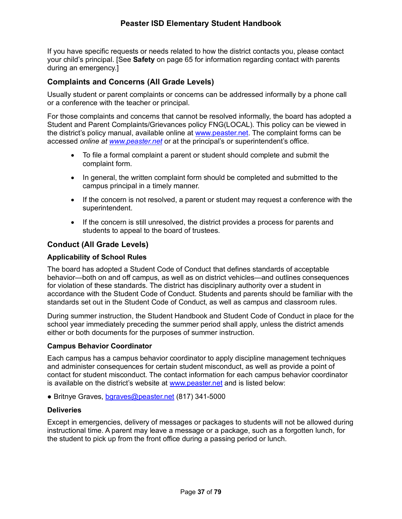# **Peaster ISD Elementary Student Handbook**

If you have specific requests or needs related to how the district contacts you, please contact your child's principal. [See **Safety** on page 65 for information regarding contact with parents during an emergency.]

## **Complaints and Concerns (All Grade Levels)**

Usually student or parent complaints or concerns can be addressed informally by a phone call or a conference with the teacher or principal.

For those complaints and concerns that cannot be resolved informally, the board has adopted a Student and Parent Complaints/Grievances policy FNG(LOCAL). This policy can be viewed in the district's policy manual, available online at www.peaster.net. The complaint forms can be accessed *online at www.peaster.net* or at the principal's or superintendent's office.

- To file a formal complaint a parent or student should complete and submit the complaint form.
- In general, the written complaint form should be completed and submitted to the campus principal in a timely manner.
- If the concern is not resolved, a parent or student may request a conference with the superintendent.
- If the concern is still unresolved, the district provides a process for parents and students to appeal to the board of trustees.

## **Conduct (All Grade Levels)**

#### **Applicability of School Rules**

The board has adopted a Student Code of Conduct that defines standards of acceptable behavior—both on and off campus, as well as on district vehicles—and outlines consequences for violation of these standards. The district has disciplinary authority over a student in accordance with the Student Code of Conduct. Students and parents should be familiar with the standards set out in the Student Code of Conduct, as well as campus and classroom rules.

During summer instruction, the Student Handbook and Student Code of Conduct in place for the school year immediately preceding the summer period shall apply, unless the district amends either or both documents for the purposes of summer instruction.

#### **Campus Behavior Coordinator**

Each campus has a campus behavior coordinator to apply discipline management techniques and administer consequences for certain student misconduct, as well as provide a point of contact for student misconduct. The contact information for each campus behavior coordinator is available on the district's website at www.peaster.net and is listed below:

*●* Britnye Graves, bgraves@peaster.net (817) 341-5000

#### **Deliveries**

Except in emergencies, delivery of messages or packages to students will not be allowed during instructional time. A parent may leave a message or a package, such as a forgotten lunch, for the student to pick up from the front office during a passing period or lunch.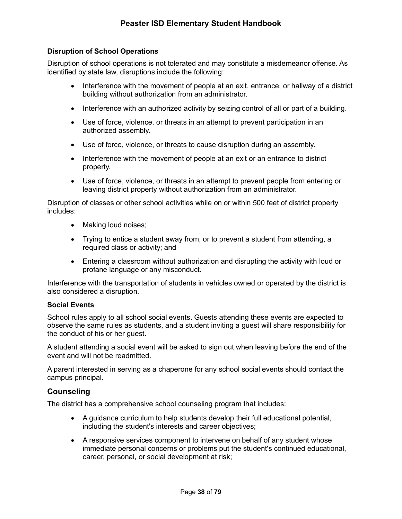## **Disruption of School Operations**

Disruption of school operations is not tolerated and may constitute a misdemeanor offense. As identified by state law, disruptions include the following:

- Interference with the movement of people at an exit, entrance, or hallway of a district building without authorization from an administrator.
- Interference with an authorized activity by seizing control of all or part of a building.
- Use of force, violence, or threats in an attempt to prevent participation in an authorized assembly.
- Use of force, violence, or threats to cause disruption during an assembly.
- Interference with the movement of people at an exit or an entrance to district property.
- Use of force, violence, or threats in an attempt to prevent people from entering or leaving district property without authorization from an administrator.

Disruption of classes or other school activities while on or within 500 feet of district property includes:

- Making loud noises;
- Trying to entice a student away from, or to prevent a student from attending, a required class or activity; and
- Entering a classroom without authorization and disrupting the activity with loud or profane language or any misconduct.

Interference with the transportation of students in vehicles owned or operated by the district is also considered a disruption.

#### **Social Events**

School rules apply to all school social events. Guests attending these events are expected to observe the same rules as students, and a student inviting a guest will share responsibility for the conduct of his or her guest.

A student attending a social event will be asked to sign out when leaving before the end of the event and will not be readmitted.

A parent interested in serving as a chaperone for any school social events should contact the campus principal.

## **Counseling**

The district has a comprehensive school counseling program that includes:

- A guidance curriculum to help students develop their full educational potential, including the student's interests and career objectives;
- A responsive services component to intervene on behalf of any student whose immediate personal concerns or problems put the student's continued educational, career, personal, or social development at risk;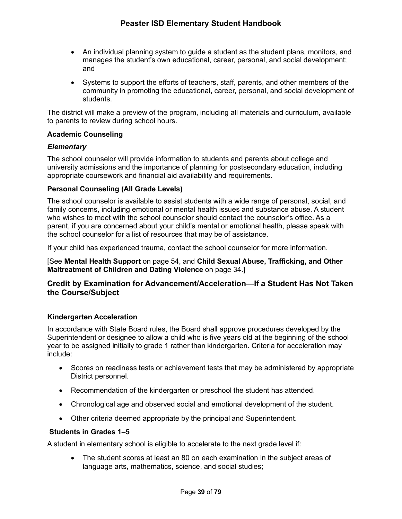- An individual planning system to guide a student as the student plans, monitors, and manages the student's own educational, career, personal, and social development; and
- Systems to support the efforts of teachers, staff, parents, and other members of the community in promoting the educational, career, personal, and social development of students.

The district will make a preview of the program, including all materials and curriculum, available to parents to review during school hours.

## **Academic Counseling**

### *Elementary*

The school counselor will provide information to students and parents about college and university admissions and the importance of planning for postsecondary education, including appropriate coursework and financial aid availability and requirements.

## **Personal Counseling (All Grade Levels)**

The school counselor is available to assist students with a wide range of personal, social, and family concerns, including emotional or mental health issues and substance abuse. A student who wishes to meet with the school counselor should contact the counselor's office. As a parent, if you are concerned about your child's mental or emotional health, please speak with the school counselor for a list of resources that may be of assistance.

If your child has experienced trauma, contact the school counselor for more information.

[See **Mental Health Support** on page 54, and **Child Sexual Abuse, Trafficking, and Other Maltreatment of Children and Dating Violence** on page 34.]

## **Credit by Examination for Advancement/Acceleration—If a Student Has Not Taken the Course/Subject**

#### **Kindergarten Acceleration**

In accordance with State Board rules, the Board shall approve procedures developed by the Superintendent or designee to allow a child who is five years old at the beginning of the school year to be assigned initially to grade 1 rather than kindergarten. Criteria for acceleration may include:

- Scores on readiness tests or achievement tests that may be administered by appropriate District personnel.
- Recommendation of the kindergarten or preschool the student has attended.
- Chronological age and observed social and emotional development of the student.
- Other criteria deemed appropriate by the principal and Superintendent.

### **Students in Grades 1–5**

A student in elementary school is eligible to accelerate to the next grade level if:

• The student scores at least an 80 on each examination in the subject areas of language arts, mathematics, science, and social studies;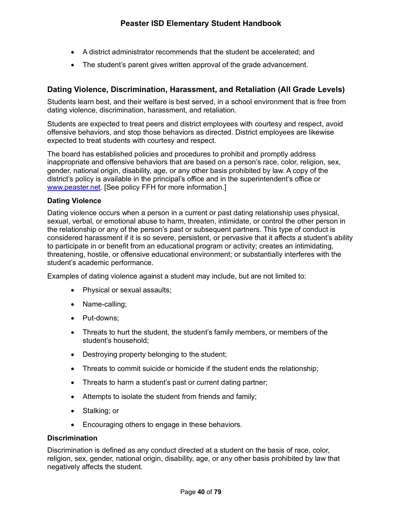- A district administrator recommends that the student be accelerated; and
- The student's parent gives written approval of the grade advancement.

# **Dating Violence, Discrimination, Harassment, and Retaliation (All Grade Levels)**

Students learn best, and their welfare is best served, in a school environment that is free from dating violence, discrimination, harassment, and retaliation.

Students are expected to treat peers and district employees with courtesy and respect, avoid offensive behaviors, and stop those behaviors as directed. District employees are likewise expected to treat students with courtesy and respect.

The board has established policies and procedures to prohibit and promptly address inappropriate and offensive behaviors that are based on a person's race, color, religion, sex, gender, national origin, disability, age, or any other basis prohibited by law. A copy of the district's policy is available in the principal's office and in the superintendent's office or www.peaster.net. [See policy FFH for more information.]

### **Dating Violence**

Dating violence occurs when a person in a current or past dating relationship uses physical, sexual, verbal, or emotional abuse to harm, threaten, intimidate, or control the other person in the relationship or any of the person's past or subsequent partners. This type of conduct is considered harassment if it is so severe, persistent, or pervasive that it affects a student's ability to participate in or benefit from an educational program or activity; creates an intimidating, threatening, hostile, or offensive educational environment; or substantially interferes with the student's academic performance.

Examples of dating violence against a student may include, but are not limited to:

- Physical or sexual assaults;
- Name-calling;
- Put-downs;
- Threats to hurt the student, the student's family members, or members of the student's household;
- Destroying property belonging to the student;
- Threats to commit suicide or homicide if the student ends the relationship;
- Threats to harm a student's past or current dating partner;
- Attempts to isolate the student from friends and family;
- Stalking; or
- Encouraging others to engage in these behaviors.

#### **Discrimination**

Discrimination is defined as any conduct directed at a student on the basis of race, color, religion, sex, gender, national origin, disability, age, or any other basis prohibited by law that negatively affects the student.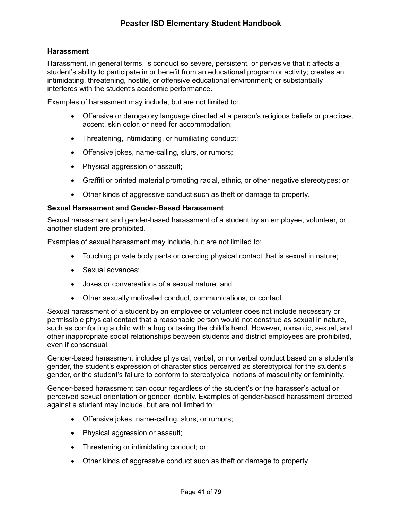## **Harassment**

Harassment, in general terms, is conduct so severe, persistent, or pervasive that it affects a student's ability to participate in or benefit from an educational program or activity; creates an intimidating, threatening, hostile, or offensive educational environment; or substantially interferes with the student's academic performance.

Examples of harassment may include, but are not limited to:

- Offensive or derogatory language directed at a person's religious beliefs or practices, accent, skin color, or need for accommodation;
- Threatening, intimidating, or humiliating conduct;
- Offensive jokes, name-calling, slurs, or rumors;
- Physical aggression or assault;
- Graffiti or printed material promoting racial, ethnic, or other negative stereotypes; or
- Other kinds of aggressive conduct such as theft or damage to property.

## **Sexual Harassment and Gender-Based Harassment**

Sexual harassment and gender-based harassment of a student by an employee, volunteer, or another student are prohibited.

Examples of sexual harassment may include, but are not limited to:

- Touching private body parts or coercing physical contact that is sexual in nature;
- Sexual advances;
- Jokes or conversations of a sexual nature; and
- Other sexually motivated conduct, communications, or contact.

Sexual harassment of a student by an employee or volunteer does not include necessary or permissible physical contact that a reasonable person would not construe as sexual in nature, such as comforting a child with a hug or taking the child's hand. However, romantic, sexual, and other inappropriate social relationships between students and district employees are prohibited, even if consensual.

Gender-based harassment includes physical, verbal, or nonverbal conduct based on a student's gender, the student's expression of characteristics perceived as stereotypical for the student's gender, or the student's failure to conform to stereotypical notions of masculinity or femininity.

Gender-based harassment can occur regardless of the student's or the harasser's actual or perceived sexual orientation or gender identity. Examples of gender-based harassment directed against a student may include, but are not limited to:

- Offensive jokes, name-calling, slurs, or rumors;
- Physical aggression or assault;
- Threatening or intimidating conduct; or
- Other kinds of aggressive conduct such as theft or damage to property.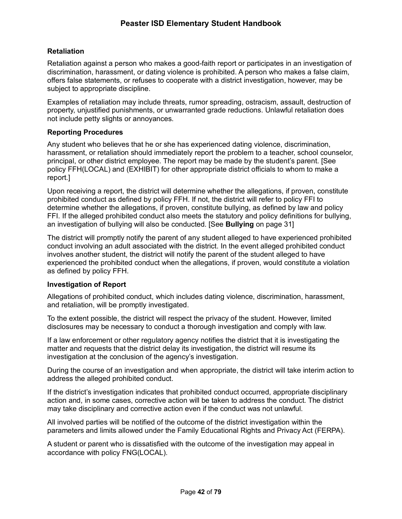## **Retaliation**

Retaliation against a person who makes a good-faith report or participates in an investigation of discrimination, harassment, or dating violence is prohibited. A person who makes a false claim, offers false statements, or refuses to cooperate with a district investigation, however, may be subject to appropriate discipline.

Examples of retaliation may include threats, rumor spreading, ostracism, assault, destruction of property, unjustified punishments, or unwarranted grade reductions. Unlawful retaliation does not include petty slights or annoyances.

## **Reporting Procedures**

Any student who believes that he or she has experienced dating violence, discrimination, harassment, or retaliation should immediately report the problem to a teacher, school counselor, principal, or other district employee. The report may be made by the student's parent. [See policy FFH(LOCAL) and (EXHIBIT) for other appropriate district officials to whom to make a report.]

Upon receiving a report, the district will determine whether the allegations, if proven, constitute prohibited conduct as defined by policy FFH. If not, the district will refer to policy FFI to determine whether the allegations, if proven, constitute bullying, as defined by law and policy FFI. If the alleged prohibited conduct also meets the statutory and policy definitions for bullying, an investigation of bullying will also be conducted. [See **Bullying** on page 31]

The district will promptly notify the parent of any student alleged to have experienced prohibited conduct involving an adult associated with the district. In the event alleged prohibited conduct involves another student, the district will notify the parent of the student alleged to have experienced the prohibited conduct when the allegations, if proven, would constitute a violation as defined by policy FFH.

## **Investigation of Report**

Allegations of prohibited conduct, which includes dating violence, discrimination, harassment, and retaliation, will be promptly investigated.

To the extent possible, the district will respect the privacy of the student. However, limited disclosures may be necessary to conduct a thorough investigation and comply with law.

If a law enforcement or other regulatory agency notifies the district that it is investigating the matter and requests that the district delay its investigation, the district will resume its investigation at the conclusion of the agency's investigation.

During the course of an investigation and when appropriate, the district will take interim action to address the alleged prohibited conduct.

If the district's investigation indicates that prohibited conduct occurred, appropriate disciplinary action and, in some cases, corrective action will be taken to address the conduct. The district may take disciplinary and corrective action even if the conduct was not unlawful.

All involved parties will be notified of the outcome of the district investigation within the parameters and limits allowed under the Family Educational Rights and Privacy Act (FERPA).

A student or parent who is dissatisfied with the outcome of the investigation may appeal in accordance with policy FNG(LOCAL).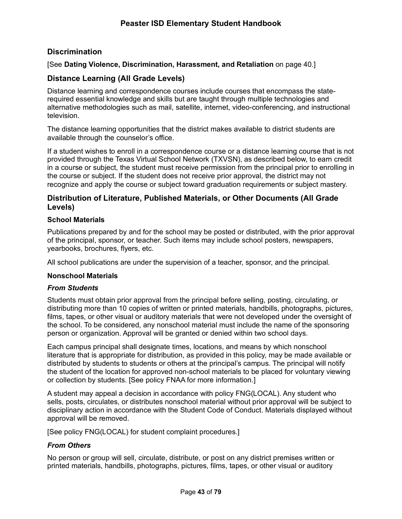# **Discrimination**

[See **Dating Violence, Discrimination, Harassment, and Retaliation** on page 40.]

## **Distance Learning (All Grade Levels)**

Distance learning and correspondence courses include courses that encompass the staterequired essential knowledge and skills but are taught through multiple technologies and alternative methodologies such as mail, satellite, internet, video-conferencing, and instructional television.

The distance learning opportunities that the district makes available to district students are available through the counselor's office.

If a student wishes to enroll in a correspondence course or a distance learning course that is not provided through the Texas Virtual School Network (TXVSN), as described below, to earn credit in a course or subject, the student must receive permission from the principal prior to enrolling in the course or subject. If the student does not receive prior approval, the district may not recognize and apply the course or subject toward graduation requirements or subject mastery.

## **Distribution of Literature, Published Materials, or Other Documents (All Grade Levels)**

### **School Materials**

Publications prepared by and for the school may be posted or distributed, with the prior approval of the principal, sponsor, or teacher. Such items may include school posters, newspapers, yearbooks, brochures, flyers, etc.

All school publications are under the supervision of a teacher, sponsor, and the principal.

## **Nonschool Materials**

#### *From Students*

Students must obtain prior approval from the principal before selling, posting, circulating, or distributing more than 10 copies of written or printed materials, handbills, photographs, pictures, films, tapes, or other visual or auditory materials that were not developed under the oversight of the school. To be considered, any nonschool material must include the name of the sponsoring person or organization. Approval will be granted or denied within two school days.

Each campus principal shall designate times, locations, and means by which nonschool literature that is appropriate for distribution, as provided in this policy, may be made available or distributed by students to students or others at the principal's campus. The principal will notify the student of the location for approved non-school materials to be placed for voluntary viewing or collection by students. [See policy FNAA for more information.]

A student may appeal a decision in accordance with policy FNG(LOCAL). Any student who sells, posts, circulates, or distributes nonschool material without prior approval will be subject to disciplinary action in accordance with the Student Code of Conduct. Materials displayed without approval will be removed.

[See policy FNG(LOCAL) for student complaint procedures.]

## *From Others*

No person or group will sell, circulate, distribute, or post on any district premises written or printed materials, handbills, photographs, pictures, films, tapes, or other visual or auditory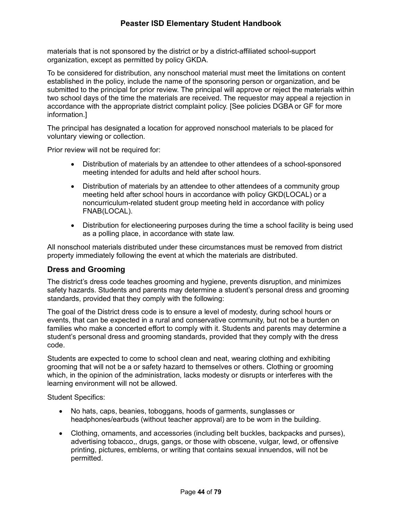materials that is not sponsored by the district or by a district-affiliated school-support organization, except as permitted by policy GKDA.

To be considered for distribution, any nonschool material must meet the limitations on content established in the policy, include the name of the sponsoring person or organization, and be submitted to the principal for prior review. The principal will approve or reject the materials within two school days of the time the materials are received. The requestor may appeal a rejection in accordance with the appropriate district complaint policy. [See policies DGBA or GF for more information.]

The principal has designated a location for approved nonschool materials to be placed for voluntary viewing or collection.

Prior review will not be required for:

- Distribution of materials by an attendee to other attendees of a school-sponsored meeting intended for adults and held after school hours.
- Distribution of materials by an attendee to other attendees of a community group meeting held after school hours in accordance with policy GKD(LOCAL) or a noncurriculum-related student group meeting held in accordance with policy FNAB(LOCAL).
- Distribution for electioneering purposes during the time a school facility is being used as a polling place, in accordance with state law.

All nonschool materials distributed under these circumstances must be removed from district property immediately following the event at which the materials are distributed.

# **Dress and Grooming**

The district's dress code teaches grooming and hygiene, prevents disruption, and minimizes safety hazards. Students and parents may determine a student's personal dress and grooming standards, provided that they comply with the following:

The goal of the District dress code is to ensure a level of modesty, during school hours or events, that can be expected in a rural and conservative community, but not be a burden on families who make a concerted effort to comply with it. Students and parents may determine a student's personal dress and grooming standards, provided that they comply with the dress code.

Students are expected to come to school clean and neat, wearing clothing and exhibiting grooming that will not be a or safety hazard to themselves or others. Clothing or grooming which, in the opinion of the administration, lacks modesty or disrupts or interferes with the learning environment will not be allowed.

Student Specifics:

- No hats, caps, beanies, toboggans, hoods of garments, sunglasses or headphones/earbuds (without teacher approval) are to be worn in the building.
- Clothing, ornaments, and accessories (including belt buckles, backpacks and purses), advertising tobacco,, drugs, gangs, or those with obscene, vulgar, lewd, or offensive printing, pictures, emblems, or writing that contains sexual innuendos, will not be permitted.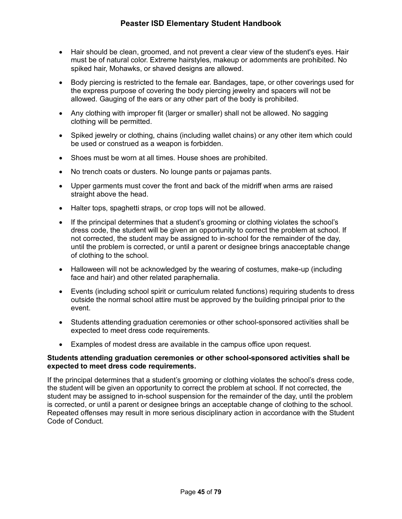- Hair should be clean, groomed, and not prevent a clear view of the student's eyes. Hair must be of natural color. Extreme hairstyles, makeup or adornments are prohibited. No spiked hair, Mohawks, or shaved designs are allowed.
- Body piercing is restricted to the female ear. Bandages, tape, or other coverings used for the express purpose of covering the body piercing jewelry and spacers will not be allowed. Gauging of the ears or any other part of the body is prohibited.
- Any clothing with improper fit (larger or smaller) shall not be allowed. No sagging clothing will be permitted.
- Spiked jewelry or clothing, chains (including wallet chains) or any other item which could be used or construed as a weapon is forbidden.
- Shoes must be worn at all times. House shoes are prohibited.
- No trench coats or dusters. No lounge pants or pajamas pants.
- Upper garments must cover the front and back of the midriff when arms are raised straight above the head.
- Halter tops, spaghetti straps, or crop tops will not be allowed.
- If the principal determines that a student's grooming or clothing violates the school's dress code, the student will be given an opportunity to correct the problem at school. If not corrected, the student may be assigned to in-school for the remainder of the day, until the problem is corrected, or until a parent or designee brings anacceptable change of clothing to the school.
- Halloween will not be acknowledged by the wearing of costumes, make-up (including face and hair) and other related paraphernalia.
- Events (including school spirit or curriculum related functions) requiring students to dress outside the normal school attire must be approved by the building principal prior to the event.
- Students attending graduation ceremonies or other school-sponsored activities shall be expected to meet dress code requirements.
- Examples of modest dress are available in the campus office upon request.

## **Students attending graduation ceremonies or other school-sponsored activities shall be expected to meet dress code requirements.**

If the principal determines that a student's grooming or clothing violates the school's dress code, the student will be given an opportunity to correct the problem at school. If not corrected, the student may be assigned to in-school suspension for the remainder of the day, until the problem is corrected, or until a parent or designee brings an acceptable change of clothing to the school. Repeated offenses may result in more serious disciplinary action in accordance with the Student Code of Conduct.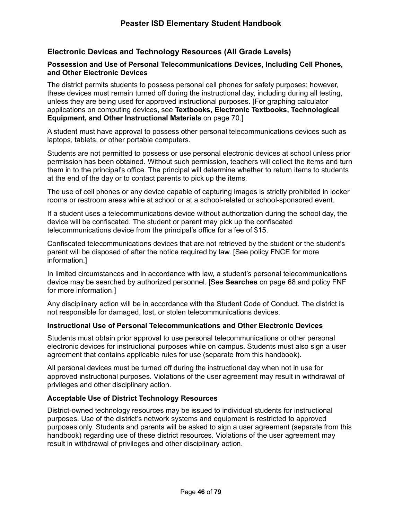# **Electronic Devices and Technology Resources (All Grade Levels)**

#### **Possession and Use of Personal Telecommunications Devices, Including Cell Phones, and Other Electronic Devices**

The district permits students to possess personal cell phones for safety purposes; however, these devices must remain turned off during the instructional day, including during all testing, unless they are being used for approved instructional purposes. [For graphing calculator applications on computing devices, see **Textbooks, Electronic Textbooks, Technological Equipment, and Other Instructional Materials** on page 70.]

A student must have approval to possess other personal telecommunications devices such as laptops, tablets, or other portable computers.

Students are not permitted to possess or use personal electronic devices at school unless prior permission has been obtained. Without such permission, teachers will collect the items and turn them in to the principal's office. The principal will determine whether to return items to students at the end of the day or to contact parents to pick up the items.

The use of cell phones or any device capable of capturing images is strictly prohibited in locker rooms or restroom areas while at school or at a school-related or school-sponsored event.

If a student uses a telecommunications device without authorization during the school day, the device will be confiscated. The student or parent may pick up the confiscated telecommunications device from the principal's office for a fee of \$15.

Confiscated telecommunications devices that are not retrieved by the student or the student's parent will be disposed of after the notice required by law. [See policy FNCE for more information.]

In limited circumstances and in accordance with law, a student's personal telecommunications device may be searched by authorized personnel. [See **Searches** on page 68 and policy FNF for more information.]

Any disciplinary action will be in accordance with the Student Code of Conduct. The district is not responsible for damaged, lost, or stolen telecommunications devices.

#### **Instructional Use of Personal Telecommunications and Other Electronic Devices**

Students must obtain prior approval to use personal telecommunications or other personal electronic devices for instructional purposes while on campus. Students must also sign a user agreement that contains applicable rules for use (separate from this handbook).

All personal devices must be turned off during the instructional day when not in use for approved instructional purposes. Violations of the user agreement may result in withdrawal of privileges and other disciplinary action.

#### **Acceptable Use of District Technology Resources**

District-owned technology resources may be issued to individual students for instructional purposes. Use of the district's network systems and equipment is restricted to approved purposes only. Students and parents will be asked to sign a user agreement (separate from this handbook) regarding use of these district resources. Violations of the user agreement may result in withdrawal of privileges and other disciplinary action.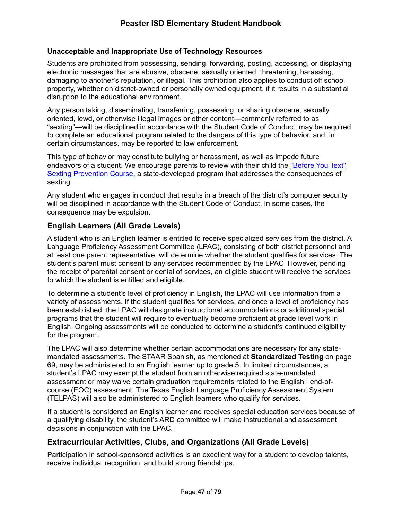## **Unacceptable and Inappropriate Use of Technology Resources**

Students are prohibited from possessing, sending, forwarding, posting, accessing, or displaying electronic messages that are abusive, obscene, sexually oriented, threatening, harassing, damaging to another's reputation, or illegal. This prohibition also applies to conduct off school property, whether on district-owned or personally owned equipment, if it results in a substantial disruption to the educational environment.

Any person taking, disseminating, transferring, possessing, or sharing obscene, sexually oriented, lewd, or otherwise illegal images or other content—commonly referred to as "sexting"—will be disciplined in accordance with the Student Code of Conduct, may be required to complete an educational program related to the dangers of this type of behavior, and, in certain circumstances, may be reported to law enforcement.

This type of behavior may constitute bullying or harassment, as well as impede future endeavors of a student. We encourage parents to review with their child the "Before You Text" Sexting Prevention Course, a state-developed program that addresses the consequences of sexting.

Any student who engages in conduct that results in a breach of the district's computer security will be disciplined in accordance with the Student Code of Conduct. In some cases, the consequence may be expulsion.

## **English Learners (All Grade Levels)**

A student who is an English learner is entitled to receive specialized services from the district. A Language Proficiency Assessment Committee (LPAC), consisting of both district personnel and at least one parent representative, will determine whether the student qualifies for services. The student's parent must consent to any services recommended by the LPAC. However, pending the receipt of parental consent or denial of services, an eligible student will receive the services to which the student is entitled and eligible.

To determine a student's level of proficiency in English, the LPAC will use information from a variety of assessments. If the student qualifies for services, and once a level of proficiency has been established, the LPAC will designate instructional accommodations or additional special programs that the student will require to eventually become proficient at grade level work in English. Ongoing assessments will be conducted to determine a student's continued eligibility for the program.

The LPAC will also determine whether certain accommodations are necessary for any statemandated assessments. The STAAR Spanish, as mentioned at **Standardized Testing** on page 69, may be administered to an English learner up to grade 5. In limited circumstances, a student's LPAC may exempt the student from an otherwise required state-mandated assessment or may waive certain graduation requirements related to the English I end-ofcourse (EOC) assessment. The Texas English Language Proficiency Assessment System (TELPAS) will also be administered to English learners who qualify for services.

If a student is considered an English learner and receives special education services because of a qualifying disability, the student's ARD committee will make instructional and assessment decisions in conjunction with the LPAC.

## **Extracurricular Activities, Clubs, and Organizations (All Grade Levels)**

Participation in school-sponsored activities is an excellent way for a student to develop talents, receive individual recognition, and build strong friendships.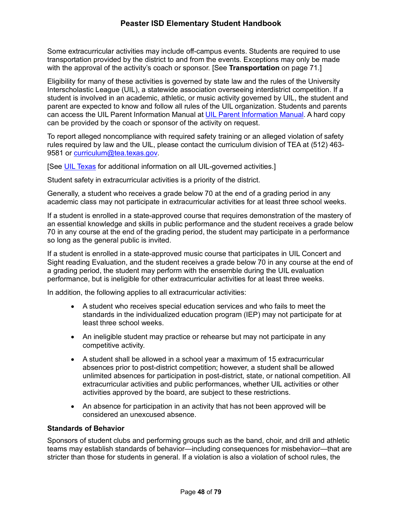Some extracurricular activities may include off-campus events. Students are required to use transportation provided by the district to and from the events. Exceptions may only be made with the approval of the activity's coach or sponsor. [See **Transportation** on page 71.]

Eligibility for many of these activities is governed by state law and the rules of the University Interscholastic League (UIL), a statewide association overseeing interdistrict competition. If a student is involved in an academic, athletic, or music activity governed by UIL, the student and parent are expected to know and follow all rules of the UIL organization. Students and parents can access the UIL Parent Information Manual at UIL Parent Information Manual. A hard copy can be provided by the coach or sponsor of the activity on request.

To report alleged noncompliance with required safety training or an alleged violation of safety rules required by law and the UIL, please contact the curriculum division of TEA at (512) 463- 9581 or curriculum@tea.texas.gov.

[See UIL Texas for additional information on all UIL-governed activities.]

Student safety in extracurricular activities is a priority of the district.

Generally, a student who receives a grade below 70 at the end of a grading period in any academic class may not participate in extracurricular activities for at least three school weeks.

If a student is enrolled in a state-approved course that requires demonstration of the mastery of an essential knowledge and skills in public performance and the student receives a grade below 70 in any course at the end of the grading period, the student may participate in a performance so long as the general public is invited.

If a student is enrolled in a state-approved music course that participates in UIL Concert and Sight reading Evaluation, and the student receives a grade below 70 in any course at the end of a grading period, the student may perform with the ensemble during the UIL evaluation performance, but is ineligible for other extracurricular activities for at least three weeks.

In addition, the following applies to all extracurricular activities:

- A student who receives special education services and who fails to meet the standards in the individualized education program (IEP) may not participate for at least three school weeks.
- An ineligible student may practice or rehearse but may not participate in any competitive activity.
- A student shall be allowed in a school year a maximum of 15 extracurricular absences prior to post-district competition; however, a student shall be allowed unlimited absences for participation in post-district, state, or national competition. All extracurricular activities and public performances, whether UIL activities or other activities approved by the board, are subject to these restrictions.
- An absence for participation in an activity that has not been approved will be considered an unexcused absence.

#### **Standards of Behavior**

Sponsors of student clubs and performing groups such as the band, choir, and drill and athletic teams may establish standards of behavior—including consequences for misbehavior—that are stricter than those for students in general. If a violation is also a violation of school rules, the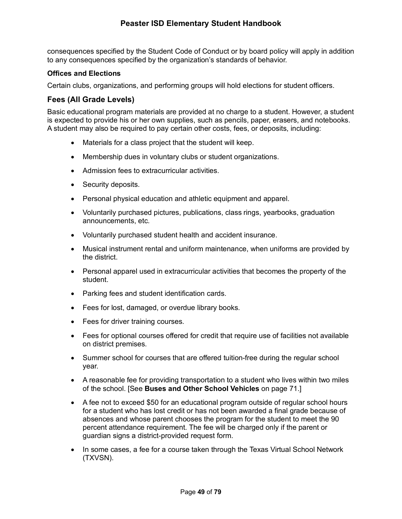# **Peaster ISD Elementary Student Handbook**

consequences specified by the Student Code of Conduct or by board policy will apply in addition to any consequences specified by the organization's standards of behavior.

### **Offices and Elections**

Certain clubs, organizations, and performing groups will hold elections for student officers.

## **Fees (All Grade Levels)**

Basic educational program materials are provided at no charge to a student. However, a student is expected to provide his or her own supplies, such as pencils, paper, erasers, and notebooks. A student may also be required to pay certain other costs, fees, or deposits, including:

- Materials for a class project that the student will keep.
- Membership dues in voluntary clubs or student organizations.
- Admission fees to extracurricular activities.
- Security deposits.
- Personal physical education and athletic equipment and apparel.
- Voluntarily purchased pictures, publications, class rings, yearbooks, graduation announcements, etc.
- Voluntarily purchased student health and accident insurance.
- Musical instrument rental and uniform maintenance, when uniforms are provided by the district.
- Personal apparel used in extracurricular activities that becomes the property of the student.
- Parking fees and student identification cards.
- Fees for lost, damaged, or overdue library books.
- Fees for driver training courses.
- Fees for optional courses offered for credit that require use of facilities not available on district premises.
- Summer school for courses that are offered tuition-free during the regular school year.
- A reasonable fee for providing transportation to a student who lives within two miles of the school. [See **Buses and Other School Vehicles** on page 71.]
- A fee not to exceed \$50 for an educational program outside of regular school hours for a student who has lost credit or has not been awarded a final grade because of absences and whose parent chooses the program for the student to meet the 90 percent attendance requirement. The fee will be charged only if the parent or guardian signs a district-provided request form.
- In some cases, a fee for a course taken through the Texas Virtual School Network (TXVSN).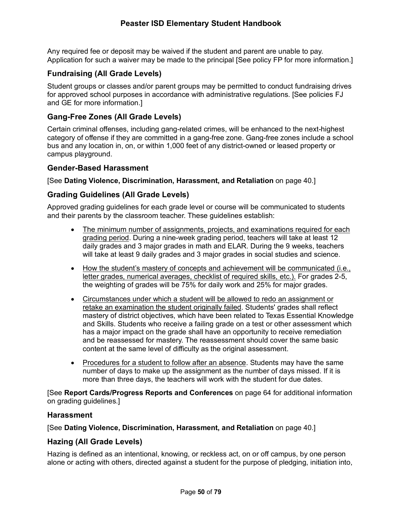Any required fee or deposit may be waived if the student and parent are unable to pay. Application for such a waiver may be made to the principal [See policy FP for more information.]

# **Fundraising (All Grade Levels)**

Student groups or classes and/or parent groups may be permitted to conduct fundraising drives for approved school purposes in accordance with administrative regulations. [See policies FJ and GE for more information.]

## **Gang-Free Zones (All Grade Levels)**

Certain criminal offenses, including gang-related crimes, will be enhanced to the next-highest category of offense if they are committed in a gang-free zone. Gang-free zones include a school bus and any location in, on, or within 1,000 feet of any district-owned or leased property or campus playground.

## **Gender-Based Harassment**

[See **Dating Violence, Discrimination, Harassment, and Retaliation** on page 40.]

## **Grading Guidelines (All Grade Levels)**

Approved grading guidelines for each grade level or course will be communicated to students and their parents by the classroom teacher. These guidelines establish:

- The minimum number of assignments, projects, and examinations required for each grading period. During a nine-week grading period, teachers will take at least 12 daily grades and 3 major grades in math and ELAR. During the 9 weeks, teachers will take at least 9 daily grades and 3 major grades in social studies and science.
- How the student's mastery of concepts and achievement will be communicated (i.e., letter grades, numerical averages, checklist of required skills, etc.). For grades 2-5, the weighting of grades will be 75% for daily work and 25% for major grades.
- Circumstances under which a student will be allowed to redo an assignment or retake an examination the student originally failed. Students' grades shall reflect mastery of district objectives, which have been related to Texas Essential Knowledge and Skills. Students who receive a failing grade on a test or other assessment which has a major impact on the grade shall have an opportunity to receive remediation and be reassessed for mastery. The reassessment should cover the same basic content at the same level of difficulty as the original assessment.
- Procedures for a student to follow after an absence. Students may have the same number of days to make up the assignment as the number of days missed. If it is more than three days, the teachers will work with the student for due dates.

[See **Report Cards/Progress Reports and Conferences** on page 64 for additional information on grading guidelines.]

## **Harassment**

[See **Dating Violence, Discrimination, Harassment, and Retaliation** on page 40.]

## **Hazing (All Grade Levels)**

Hazing is defined as an intentional, knowing, or reckless act, on or off campus, by one person alone or acting with others, directed against a student for the purpose of pledging, initiation into,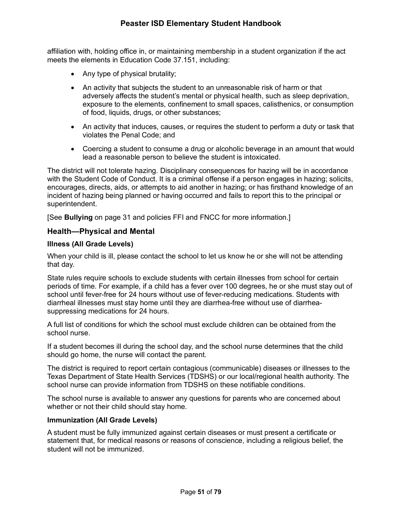affiliation with, holding office in, or maintaining membership in a student organization if the act meets the elements in Education Code 37.151, including:

- Any type of physical brutality;
- An activity that subjects the student to an unreasonable risk of harm or that adversely affects the student's mental or physical health, such as sleep deprivation, exposure to the elements, confinement to small spaces, calisthenics, or consumption of food, liquids, drugs, or other substances;
- An activity that induces, causes, or requires the student to perform a duty or task that violates the Penal Code; and
- Coercing a student to consume a drug or alcoholic beverage in an amount that would lead a reasonable person to believe the student is intoxicated.

The district will not tolerate hazing. Disciplinary consequences for hazing will be in accordance with the Student Code of Conduct. It is a criminal offense if a person engages in hazing; solicits, encourages, directs, aids, or attempts to aid another in hazing; or has firsthand knowledge of an incident of hazing being planned or having occurred and fails to report this to the principal or superintendent.

[See **Bullying** on page 31 and policies FFI and FNCC for more information.]

## **Health—Physical and Mental**

## **Illness (All Grade Levels)**

When your child is ill, please contact the school to let us know he or she will not be attending that day.

State rules require schools to exclude students with certain illnesses from school for certain periods of time. For example, if a child has a fever over 100 degrees, he or she must stay out of school until fever-free for 24 hours without use of fever-reducing medications. Students with diarrheal illnesses must stay home until they are diarrhea-free without use of diarrheasuppressing medications for 24 hours.

A full list of conditions for which the school must exclude children can be obtained from the school nurse.

If a student becomes ill during the school day, and the school nurse determines that the child should go home, the nurse will contact the parent.

The district is required to report certain contagious (communicable) diseases or illnesses to the Texas Department of State Health Services (TDSHS) or our local/regional health authority. The school nurse can provide information from TDSHS on these notifiable conditions.

The school nurse is available to answer any questions for parents who are concerned about whether or not their child should stay home.

## **Immunization (All Grade Levels)**

A student must be fully immunized against certain diseases or must present a certificate or statement that, for medical reasons or reasons of conscience, including a religious belief, the student will not be immunized.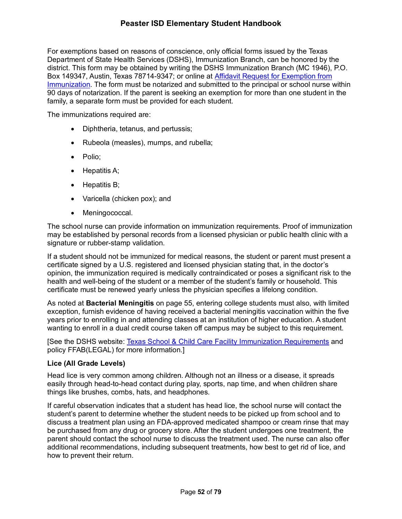# **Peaster ISD Elementary Student Handbook**

For exemptions based on reasons of conscience, only official forms issued by the Texas Department of State Health Services (DSHS), Immunization Branch, can be honored by the district. This form may be obtained by writing the DSHS Immunization Branch (MC 1946), P.O. Box 149347, Austin, Texas 78714-9347; or online at Affidavit Request for Exemption from Immunization. The form must be notarized and submitted to the principal or school nurse within 90 days of notarization. If the parent is seeking an exemption for more than one student in the family, a separate form must be provided for each student.

The immunizations required are:

- Diphtheria, tetanus, and pertussis;
- Rubeola (measles), mumps, and rubella;
- Polio;
- Hepatitis A;
- Hepatitis B:
- Varicella (chicken pox); and
- Meningococcal.

The school nurse can provide information on immunization requirements. Proof of immunization may be established by personal records from a licensed physician or public health clinic with a signature or rubber-stamp validation.

If a student should not be immunized for medical reasons, the student or parent must present a certificate signed by a U.S. registered and licensed physician stating that, in the doctor's opinion, the immunization required is medically contraindicated or poses a significant risk to the health and well-being of the student or a member of the student's family or household. This certificate must be renewed yearly unless the physician specifies a lifelong condition.

As noted at **Bacterial Meningitis** on page 55, entering college students must also, with limited exception, furnish evidence of having received a bacterial meningitis vaccination within the five years prior to enrolling in and attending classes at an institution of higher education. A student wanting to enroll in a dual credit course taken off campus may be subject to this requirement.

[See the DSHS website: Texas School & Child Care Facility Immunization Requirements and policy FFAB(LEGAL) for more information.]

#### **Lice (All Grade Levels)**

Head lice is very common among children. Although not an illness or a disease, it spreads easily through head-to-head contact during play, sports, nap time, and when children share things like brushes, combs, hats, and headphones.

If careful observation indicates that a student has head lice, the school nurse will contact the student's parent to determine whether the student needs to be picked up from school and to discuss a treatment plan using an FDA-approved medicated shampoo or cream rinse that may be purchased from any drug or grocery store. After the student undergoes one treatment, the parent should contact the school nurse to discuss the treatment used. The nurse can also offer additional recommendations, including subsequent treatments, how best to get rid of lice, and how to prevent their return.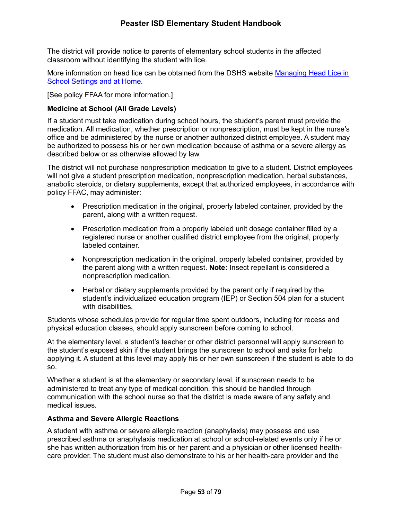The district will provide notice to parents of elementary school students in the affected classroom without identifying the student with lice.

More information on head lice can be obtained from the DSHS website Managing Head Lice in School Settings and at Home.

[See policy FFAA for more information.]

## **Medicine at School (All Grade Levels)**

If a student must take medication during school hours, the student's parent must provide the medication. All medication, whether prescription or nonprescription, must be kept in the nurse's office and be administered by the nurse or another authorized district employee. A student may be authorized to possess his or her own medication because of asthma or a severe allergy as described below or as otherwise allowed by law.

The district will not purchase nonprescription medication to give to a student. District employees will not give a student prescription medication, nonprescription medication, herbal substances, anabolic steroids, or dietary supplements, except that authorized employees, in accordance with policy FFAC, may administer:

- Prescription medication in the original, properly labeled container, provided by the parent, along with a written request.
- Prescription medication from a properly labeled unit dosage container filled by a registered nurse or another qualified district employee from the original, properly labeled container.
- Nonprescription medication in the original, properly labeled container, provided by the parent along with a written request. **Note:** Insect repellant is considered a nonprescription medication.
- Herbal or dietary supplements provided by the parent only if required by the student's individualized education program (IEP) or Section 504 plan for a student with disabilities.

Students whose schedules provide for regular time spent outdoors, including for recess and physical education classes, should apply sunscreen before coming to school.

At the elementary level, a student's teacher or other district personnel will apply sunscreen to the student's exposed skin if the student brings the sunscreen to school and asks for help applying it. A student at this level may apply his or her own sunscreen if the student is able to do so.

Whether a student is at the elementary or secondary level, if sunscreen needs to be administered to treat any type of medical condition, this should be handled through communication with the school nurse so that the district is made aware of any safety and medical issues.

## **Asthma and Severe Allergic Reactions**

A student with asthma or severe allergic reaction (anaphylaxis) may possess and use prescribed asthma or anaphylaxis medication at school or school-related events only if he or she has written authorization from his or her parent and a physician or other licensed healthcare provider. The student must also demonstrate to his or her health-care provider and the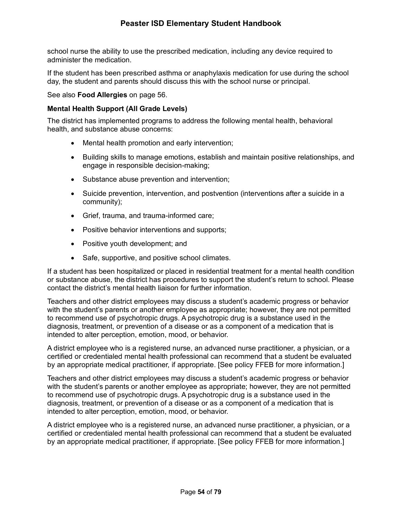school nurse the ability to use the prescribed medication, including any device required to administer the medication.

If the student has been prescribed asthma or anaphylaxis medication for use during the school day, the student and parents should discuss this with the school nurse or principal.

See also **Food Allergies** on page 56.

## **Mental Health Support (All Grade Levels)**

The district has implemented programs to address the following mental health, behavioral health, and substance abuse concerns:

- Mental health promotion and early intervention;
- Building skills to manage emotions, establish and maintain positive relationships, and engage in responsible decision-making;
- Substance abuse prevention and intervention;
- Suicide prevention, intervention, and postvention (interventions after a suicide in a community);
- Grief, trauma, and trauma-informed care;
- Positive behavior interventions and supports;
- Positive youth development; and
- Safe, supportive, and positive school climates.

If a student has been hospitalized or placed in residential treatment for a mental health condition or substance abuse, the district has procedures to support the student's return to school. Please contact the district's mental health liaison for further information.

Teachers and other district employees may discuss a student's academic progress or behavior with the student's parents or another employee as appropriate; however, they are not permitted to recommend use of psychotropic drugs. A psychotropic drug is a substance used in the diagnosis, treatment, or prevention of a disease or as a component of a medication that is intended to alter perception, emotion, mood, or behavior.

A district employee who is a registered nurse, an advanced nurse practitioner, a physician, or a certified or credentialed mental health professional can recommend that a student be evaluated by an appropriate medical practitioner, if appropriate. [See policy FFEB for more information.]

Teachers and other district employees may discuss a student's academic progress or behavior with the student's parents or another employee as appropriate; however, they are not permitted to recommend use of psychotropic drugs. A psychotropic drug is a substance used in the diagnosis, treatment, or prevention of a disease or as a component of a medication that is intended to alter perception, emotion, mood, or behavior.

A district employee who is a registered nurse, an advanced nurse practitioner, a physician, or a certified or credentialed mental health professional can recommend that a student be evaluated by an appropriate medical practitioner, if appropriate. [See policy FFEB for more information.]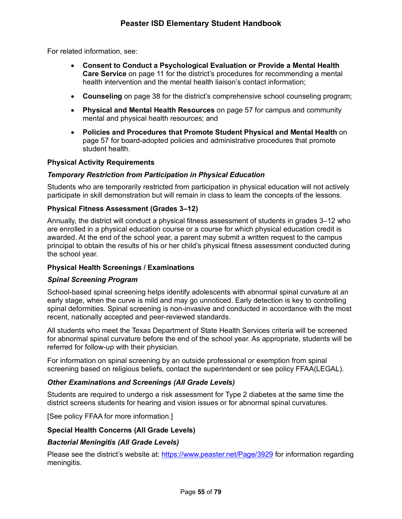For related information, see:

- **Consent to Conduct a Psychological Evaluation or Provide a Mental Health Care Service** on page 11 for the district's procedures for recommending a mental health intervention and the mental health liaison's contact information;
- **Counseling** on page 38 for the district's comprehensive school counseling program;
- **Physical and Mental Health Resources** on page 57 for campus and community mental and physical health resources; and
- **Policies and Procedures that Promote Student Physical and Mental Health** on page 57 for board-adopted policies and administrative procedures that promote student health.

### **Physical Activity Requirements**

### *Temporary Restriction from Participation in Physical Education*

Students who are temporarily restricted from participation in physical education will not actively participate in skill demonstration but will remain in class to learn the concepts of the lessons.

### **Physical Fitness Assessment (Grades 3–12)**

Annually, the district will conduct a physical fitness assessment of students in grades 3–12 who are enrolled in a physical education course or a course for which physical education credit is awarded. At the end of the school year, a parent may submit a written request to the campus principal to obtain the results of his or her child's physical fitness assessment conducted during the school year.

## **Physical Health Screenings / Examinations**

#### *Spinal Screening Program*

School-based spinal screening helps identify adolescents with abnormal spinal curvature at an early stage, when the curve is mild and may go unnoticed. Early detection is key to controlling spinal deformities. Spinal screening is non-invasive and conducted in accordance with the most recent, nationally accepted and peer-reviewed standards.

All students who meet the Texas Department of State Health Services criteria will be screened for abnormal spinal curvature before the end of the school year. As appropriate, students will be referred for follow-up with their physician.

For information on spinal screening by an outside professional or exemption from spinal screening based on religious beliefs, contact the superintendent or see policy FFAA(LEGAL).

## *Other Examinations and Screenings (All Grade Levels)*

Students are required to undergo a risk assessment for Type 2 diabetes at the same time the district screens students for hearing and vision issues or for abnormal spinal curvatures.

[See policy FFAA for more information.]

#### **Special Health Concerns (All Grade Levels)**

#### *Bacterial Meningitis (All Grade Levels)*

Please see the district's website at: https://www.peaster.net/Page/3929 for information regarding meningitis.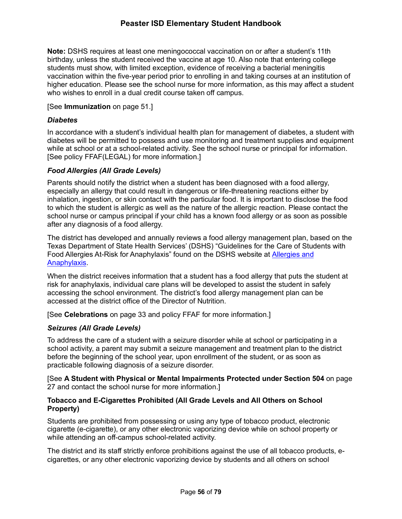**Note:** DSHS requires at least one meningococcal vaccination on or after a student's 11th birthday, unless the student received the vaccine at age 10. Also note that entering college students must show, with limited exception, evidence of receiving a bacterial meningitis vaccination within the five-year period prior to enrolling in and taking courses at an institution of higher education. Please see the school nurse for more information, as this may affect a student who wishes to enroll in a dual credit course taken off campus.

## [See **Immunization** on page 51.]

### *Diabetes*

In accordance with a student's individual health plan for management of diabetes, a student with diabetes will be permitted to possess and use monitoring and treatment supplies and equipment while at school or at a school-related activity. See the school nurse or principal for information. [See policy FFAF(LEGAL) for more information.]

## *Food Allergies (All Grade Levels)*

Parents should notify the district when a student has been diagnosed with a food allergy, especially an allergy that could result in dangerous or life-threatening reactions either by inhalation, ingestion, or skin contact with the particular food. It is important to disclose the food to which the student is allergic as well as the nature of the allergic reaction. Please contact the school nurse or campus principal if your child has a known food allergy or as soon as possible after any diagnosis of a food allergy.

The district has developed and annually reviews a food allergy management plan, based on the Texas Department of State Health Services' (DSHS) "Guidelines for the Care of Students with Food Allergies At-Risk for Anaphylaxis" found on the DSHS website at Allergies and Anaphylaxis.

When the district receives information that a student has a food allergy that puts the student at risk for anaphylaxis, individual care plans will be developed to assist the student in safely accessing the school environment. The district's food allergy management plan can be accessed at the district office of the Director of Nutrition.

[See **Celebrations** on page 33 and policy FFAF for more information.]

## *Seizures (All Grade Levels)*

To address the care of a student with a seizure disorder while at school or participating in a school activity, a parent may submit a seizure management and treatment plan to the district before the beginning of the school year, upon enrollment of the student, or as soon as practicable following diagnosis of a seizure disorder.

[See **A Student with Physical or Mental Impairments Protected under Section 504** on page 27 and contact the school nurse for more information.]

### **Tobacco and E-Cigarettes Prohibited (All Grade Levels and All Others on School Property)**

Students are prohibited from possessing or using any type of tobacco product, electronic cigarette (e-cigarette), or any other electronic vaporizing device while on school property or while attending an off-campus school-related activity.

The district and its staff strictly enforce prohibitions against the use of all tobacco products, ecigarettes, or any other electronic vaporizing device by students and all others on school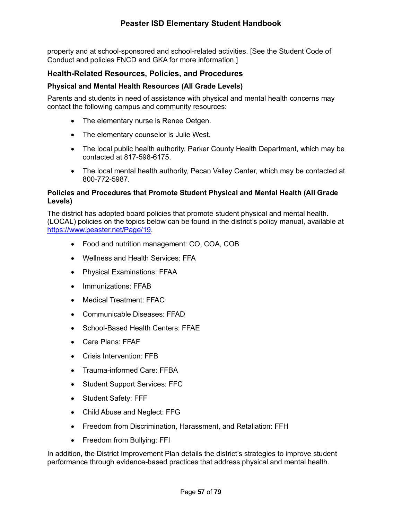property and at school-sponsored and school-related activities. [See the Student Code of Conduct and policies FNCD and GKA for more information.]

# **Health-Related Resources, Policies, and Procedures**

## **Physical and Mental Health Resources (All Grade Levels)**

Parents and students in need of assistance with physical and mental health concerns may contact the following campus and community resources:

- The elementary nurse is Renee Oetgen.
- The elementary counselor is Julie West.
- The local public health authority, Parker County Health Department, which may be contacted at 817-598-6175.
- The local mental health authority, Pecan Valley Center, which may be contacted at 800-772-5987.

## **Policies and Procedures that Promote Student Physical and Mental Health (All Grade Levels)**

The district has adopted board policies that promote student physical and mental health. (LOCAL) policies on the topics below can be found in the district's policy manual, available at https://www.peaster.net/Page/19.

- Food and nutrition management: CO, COA, COB
- Wellness and Health Services: FFA
- Physical Examinations: FFAA
- Immunizations: FFAB
- Medical Treatment: FFAC
- Communicable Diseases: FFAD
- School-Based Health Centers: FFAE
- Care Plans: FFAF
- Crisis Intervention: FFB
- Trauma-informed Care: FFBA
- Student Support Services: FFC
- Student Safety: FFF
- Child Abuse and Neglect: FFG
- Freedom from Discrimination, Harassment, and Retaliation: FFH
- Freedom from Bullying: FFI

In addition, the District Improvement Plan details the district's strategies to improve student performance through evidence-based practices that address physical and mental health.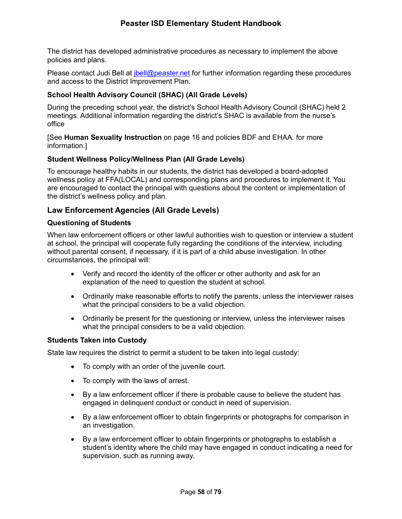The district has developed administrative procedures as necessary to implement the above policies and plans.

Please contact Judi Bell at *jbell@peaster.net* for further information regarding these procedures and access to the District Improvement Plan.

## **School Health Advisory Council (SHAC) (All Grade Levels)**

During the preceding school year, the district's School Health Advisory Council (SHAC) held 2 meetings. Additional information regarding the district's SHAC is available from the nurse's office

[See **Human Sexuality Instruction** on page 16 and policies BDF and EHAA. for more information.]

### **Student Wellness Policy/Wellness Plan (All Grade Levels)**

To encourage healthy habits in our students, the district has developed a board-adopted wellness policy at FFA(LOCAL) and corresponding plans and procedures to implement it. You are encouraged to contact the principal with questions about the content or implementation of the district's wellness policy and plan.

## **Law Enforcement Agencies (All Grade Levels)**

### **Questioning of Students**

When law enforcement officers or other lawful authorities wish to question or interview a student at school, the principal will cooperate fully regarding the conditions of the interview, including without parental consent, if necessary, if it is part of a child abuse investigation. In other circumstances, the principal will:

- Verify and record the identity of the officer or other authority and ask for an explanation of the need to question the student at school.
- Ordinarily make reasonable efforts to notify the parents, unless the interviewer raises what the principal considers to be a valid objection.
- Ordinarily be present for the questioning or interview, unless the interviewer raises what the principal considers to be a valid objection.

#### **Students Taken into Custody**

State law requires the district to permit a student to be taken into legal custody:

- To comply with an order of the juvenile court.
- To comply with the laws of arrest.
- By a law enforcement officer if there is probable cause to believe the student has engaged in delinquent conduct or conduct in need of supervision.
- By a law enforcement officer to obtain fingerprints or photographs for comparison in an investigation.
- By a law enforcement officer to obtain fingerprints or photographs to establish a student's identity where the child may have engaged in conduct indicating a need for supervision, such as running away.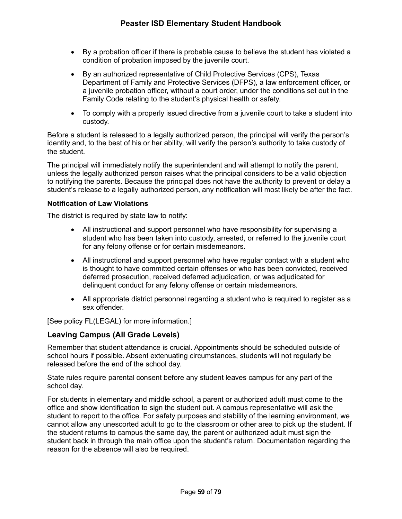- By a probation officer if there is probable cause to believe the student has violated a condition of probation imposed by the juvenile court.
- By an authorized representative of Child Protective Services (CPS), Texas Department of Family and Protective Services (DFPS), a law enforcement officer, or a juvenile probation officer, without a court order, under the conditions set out in the Family Code relating to the student's physical health or safety.
- To comply with a properly issued directive from a juvenile court to take a student into custody.

Before a student is released to a legally authorized person, the principal will verify the person's identity and, to the best of his or her ability, will verify the person's authority to take custody of the student.

The principal will immediately notify the superintendent and will attempt to notify the parent, unless the legally authorized person raises what the principal considers to be a valid objection to notifying the parents. Because the principal does not have the authority to prevent or delay a student's release to a legally authorized person, any notification will most likely be after the fact.

## **Notification of Law Violations**

The district is required by state law to notify:

- All instructional and support personnel who have responsibility for supervising a student who has been taken into custody, arrested, or referred to the juvenile court for any felony offense or for certain misdemeanors.
- All instructional and support personnel who have regular contact with a student who is thought to have committed certain offenses or who has been convicted, received deferred prosecution, received deferred adjudication, or was adjudicated for delinquent conduct for any felony offense or certain misdemeanors.
- All appropriate district personnel regarding a student who is required to register as a sex offender.

[See policy FL(LEGAL) for more information.]

# **Leaving Campus (All Grade Levels)**

Remember that student attendance is crucial. Appointments should be scheduled outside of school hours if possible. Absent extenuating circumstances, students will not regularly be released before the end of the school day.

State rules require parental consent before any student leaves campus for any part of the school day.

For students in elementary and middle school, a parent or authorized adult must come to the office and show identification to sign the student out. A campus representative will ask the student to report to the office. For safety purposes and stability of the learning environment, we cannot allow any unescorted adult to go to the classroom or other area to pick up the student. If the student returns to campus the same day, the parent or authorized adult must sign the student back in through the main office upon the student's return. Documentation regarding the reason for the absence will also be required.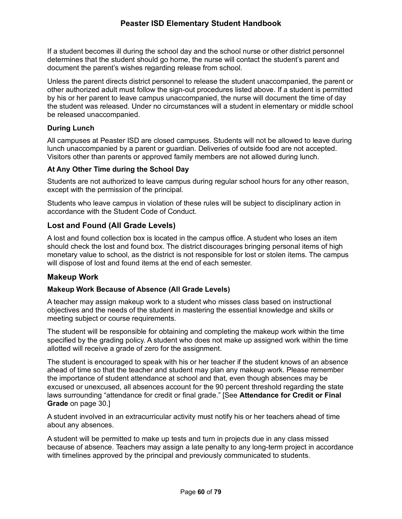If a student becomes ill during the school day and the school nurse or other district personnel determines that the student should go home, the nurse will contact the student's parent and document the parent's wishes regarding release from school.

Unless the parent directs district personnel to release the student unaccompanied, the parent or other authorized adult must follow the sign-out procedures listed above. If a student is permitted by his or her parent to leave campus unaccompanied, the nurse will document the time of day the student was released. Under no circumstances will a student in elementary or middle school be released unaccompanied.

## **During Lunch**

All campuses at Peaster ISD are closed campuses. Students will not be allowed to leave during lunch unaccompanied by a parent or guardian. Deliveries of outside food are not accepted. Visitors other than parents or approved family members are not allowed during lunch.

# **At Any Other Time during the School Day**

Students are not authorized to leave campus during regular school hours for any other reason, except with the permission of the principal.

Students who leave campus in violation of these rules will be subject to disciplinary action in accordance with the Student Code of Conduct.

# **Lost and Found (All Grade Levels)**

A lost and found collection box is located in the campus office. A student who loses an item should check the lost and found box. The district discourages bringing personal items of high monetary value to school, as the district is not responsible for lost or stolen items. The campus will dispose of lost and found items at the end of each semester.

# **Makeup Work**

# **Makeup Work Because of Absence (All Grade Levels)**

A teacher may assign makeup work to a student who misses class based on instructional objectives and the needs of the student in mastering the essential knowledge and skills or meeting subject or course requirements.

The student will be responsible for obtaining and completing the makeup work within the time specified by the grading policy. A student who does not make up assigned work within the time allotted will receive a grade of zero for the assignment.

The student is encouraged to speak with his or her teacher if the student knows of an absence ahead of time so that the teacher and student may plan any makeup work. Please remember the importance of student attendance at school and that, even though absences may be excused or unexcused, all absences account for the 90 percent threshold regarding the state laws surrounding "attendance for credit or final grade." [See **Attendance for Credit or Final Grade** on page 30.]

A student involved in an extracurricular activity must notify his or her teachers ahead of time about any absences.

A student will be permitted to make up tests and turn in projects due in any class missed because of absence. Teachers may assign a late penalty to any long-term project in accordance with timelines approved by the principal and previously communicated to students.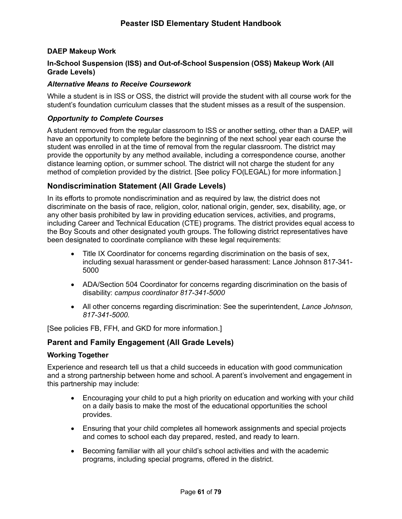## **DAEP Makeup Work**

## **In-School Suspension (ISS) and Out-of-School Suspension (OSS) Makeup Work (All Grade Levels)**

#### *Alternative Means to Receive Coursework*

While a student is in ISS or OSS, the district will provide the student with all course work for the student's foundation curriculum classes that the student misses as a result of the suspension.

#### *Opportunity to Complete Courses*

A student removed from the regular classroom to ISS or another setting, other than a DAEP, will have an opportunity to complete before the beginning of the next school year each course the student was enrolled in at the time of removal from the regular classroom. The district may provide the opportunity by any method available, including a correspondence course, another distance learning option, or summer school. The district will not charge the student for any method of completion provided by the district. [See policy FO(LEGAL) for more information.]

## **Nondiscrimination Statement (All Grade Levels)**

In its efforts to promote nondiscrimination and as required by law, the district does not discriminate on the basis of race, religion, color, national origin, gender, sex, disability, age, or any other basis prohibited by law in providing education services, activities, and programs, including Career and Technical Education (CTE) programs. The district provides equal access to the Boy Scouts and other designated youth groups. The following district representatives have been designated to coordinate compliance with these legal requirements:

- Title IX Coordinator for concerns regarding discrimination on the basis of sex, including sexual harassment or gender-based harassment: Lance Johnson 817-341- 5000
- ADA/Section 504 Coordinator for concerns regarding discrimination on the basis of disability: *campus coordinator 817-341-5000*
- All other concerns regarding discrimination: See the superintendent, *Lance Johnson, 817-341-5000.*

[See policies FB, FFH, and GKD for more information.]

## **Parent and Family Engagement (All Grade Levels)**

#### **Working Together**

Experience and research tell us that a child succeeds in education with good communication and a strong partnership between home and school. A parent's involvement and engagement in this partnership may include:

- Encouraging your child to put a high priority on education and working with your child on a daily basis to make the most of the educational opportunities the school provides.
- Ensuring that your child completes all homework assignments and special projects and comes to school each day prepared, rested, and ready to learn.
- Becoming familiar with all your child's school activities and with the academic programs, including special programs, offered in the district.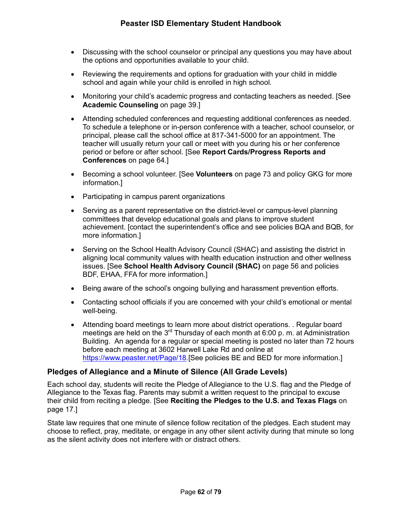- Discussing with the school counselor or principal any questions you may have about the options and opportunities available to your child.
- Reviewing the requirements and options for graduation with your child in middle school and again while your child is enrolled in high school.
- Monitoring your child's academic progress and contacting teachers as needed. [See **Academic Counseling** on page 39.]
- Attending scheduled conferences and requesting additional conferences as needed. To schedule a telephone or in-person conference with a teacher, school counselor, or principal, please call the school office at 817-341-5000 for an appointment. The teacher will usually return your call or meet with you during his or her conference period or before or after school. [See **Report Cards/Progress Reports and Conferences** on page 64.]
- Becoming a school volunteer. [See **Volunteers** on page 73 and policy GKG for more information.]
- Participating in campus parent organizations
- Serving as a parent representative on the district-level or campus-level planning committees that develop educational goals and plans to improve student achievement. [contact the superintendent's office and see policies BQA and BQB, for more information.]
- Serving on the School Health Advisory Council (SHAC) and assisting the district in aligning local community values with health education instruction and other wellness issues. [See **School Health Advisory Council (SHAC)** on page 56 and policies BDF, EHAA, FFA for more information.]
- Being aware of the school's ongoing bullying and harassment prevention efforts.
- Contacting school officials if you are concerned with your child's emotional or mental well-being.
- Attending board meetings to learn more about district operations. . Regular board meetings are held on the  $3^{rd}$  Thursday of each month at 6:00 p. m. at Administration Building. An agenda for a regular or special meeting is posted no later than 72 hours before each meeting at 3602 Harwell Lake Rd and online at https://www.peaster.net/Page/18*.*[See policies BE and BED for more information.]

# **Pledges of Allegiance and a Minute of Silence (All Grade Levels)**

Each school day, students will recite the Pledge of Allegiance to the U.S. flag and the Pledge of Allegiance to the Texas flag. Parents may submit a written request to the principal to excuse their child from reciting a pledge. [See **Reciting the Pledges to the U.S. and Texas Flags** on page 17.]

State law requires that one minute of silence follow recitation of the pledges. Each student may choose to reflect, pray, meditate, or engage in any other silent activity during that minute so long as the silent activity does not interfere with or distract others.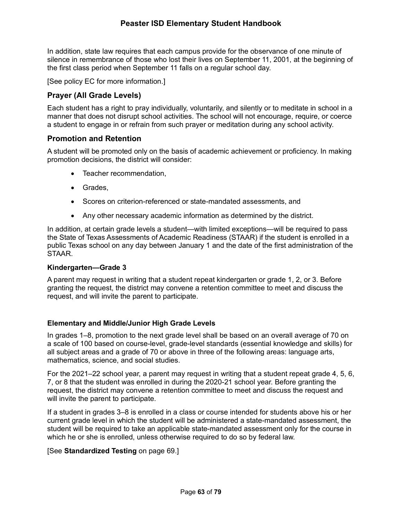In addition, state law requires that each campus provide for the observance of one minute of silence in remembrance of those who lost their lives on September 11, 2001, at the beginning of the first class period when September 11 falls on a regular school day.

[See policy EC for more information.]

## **Prayer (All Grade Levels)**

Each student has a right to pray individually, voluntarily, and silently or to meditate in school in a manner that does not disrupt school activities. The school will not encourage, require, or coerce a student to engage in or refrain from such prayer or meditation during any school activity.

### **Promotion and Retention**

A student will be promoted only on the basis of academic achievement or proficiency. In making promotion decisions, the district will consider:

- Teacher recommendation,
- Grades,
- Scores on criterion-referenced or state-mandated assessments, and
- Any other necessary academic information as determined by the district.

In addition, at certain grade levels a student—with limited exceptions—will be required to pass the State of Texas Assessments of Academic Readiness (STAAR) if the student is enrolled in a public Texas school on any day between January 1 and the date of the first administration of the STAAR.

#### **Kindergarten—Grade 3**

A parent may request in writing that a student repeat kindergarten or grade 1, 2, or 3. Before granting the request, the district may convene a retention committee to meet and discuss the request, and will invite the parent to participate.

#### **Elementary and Middle/Junior High Grade Levels**

In grades 1–8, promotion to the next grade level shall be based on an overall average of 70 on a scale of 100 based on course-level, grade-level standards (essential knowledge and skills) for all subject areas and a grade of 70 or above in three of the following areas: language arts, mathematics, science, and social studies.

For the 2021–22 school year, a parent may request in writing that a student repeat grade 4, 5, 6, 7, or 8 that the student was enrolled in during the 2020-21 school year. Before granting the request, the district may convene a retention committee to meet and discuss the request and will invite the parent to participate.

If a student in grades 3–8 is enrolled in a class or course intended for students above his or her current grade level in which the student will be administered a state-mandated assessment, the student will be required to take an applicable state-mandated assessment only for the course in which he or she is enrolled, unless otherwise required to do so by federal law.

#### [See **Standardized Testing** on page 69.]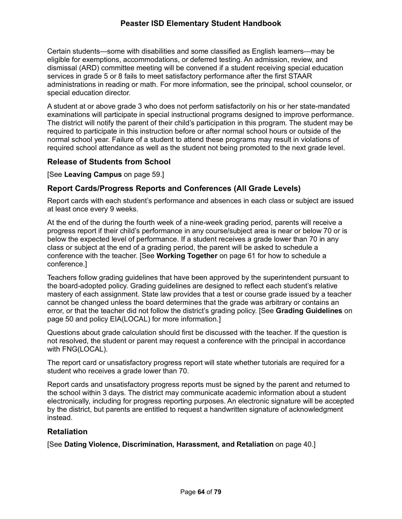# **Peaster ISD Elementary Student Handbook**

Certain students—some with disabilities and some classified as English learners—may be eligible for exemptions, accommodations, or deferred testing. An admission, review, and dismissal (ARD) committee meeting will be convened if a student receiving special education services in grade 5 or 8 fails to meet satisfactory performance after the first STAAR administrations in reading or math. For more information, see the principal, school counselor, or special education director.

A student at or above grade 3 who does not perform satisfactorily on his or her state-mandated examinations will participate in special instructional programs designed to improve performance. The district will notify the parent of their child's participation in this program. The student may be required to participate in this instruction before or after normal school hours or outside of the normal school year. Failure of a student to attend these programs may result in violations of required school attendance as well as the student not being promoted to the next grade level.

## **Release of Students from School**

[See **Leaving Campus** on page 59.]

# **Report Cards/Progress Reports and Conferences (All Grade Levels)**

Report cards with each student's performance and absences in each class or subject are issued at least once every 9 weeks.

At the end of the during the fourth week of a nine-week grading period, parents will receive a progress report if their child's performance in any course/subject area is near or below 70 or is below the expected level of performance. If a student receives a grade lower than 70 in any class or subject at the end of a grading period, the parent will be asked to schedule a conference with the teacher. [See **Working Together** on page 61 for how to schedule a conference.]

Teachers follow grading guidelines that have been approved by the superintendent pursuant to the board-adopted policy. Grading guidelines are designed to reflect each student's relative mastery of each assignment. State law provides that a test or course grade issued by a teacher cannot be changed unless the board determines that the grade was arbitrary or contains an error, or that the teacher did not follow the district's grading policy. [See **Grading Guidelines** on page 50 and policy EIA(LOCAL) for more information.]

Questions about grade calculation should first be discussed with the teacher. If the question is not resolved, the student or parent may request a conference with the principal in accordance with FNG(LOCAL).

The report card or unsatisfactory progress report will state whether tutorials are required for a student who receives a grade lower than 70.

Report cards and unsatisfactory progress reports must be signed by the parent and returned to the school within 3 days. The district may communicate academic information about a student electronically, including for progress reporting purposes. An electronic signature will be accepted by the district, but parents are entitled to request a handwritten signature of acknowledgment instead.

## **Retaliation**

[See **Dating Violence, Discrimination, Harassment, and Retaliation** on page 40.]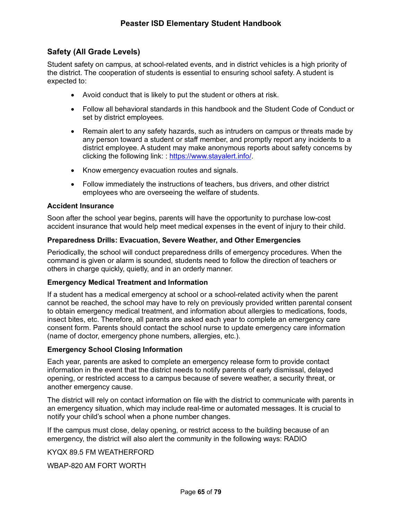# **Safety (All Grade Levels)**

Student safety on campus, at school-related events, and in district vehicles is a high priority of the district. The cooperation of students is essential to ensuring school safety. A student is expected to:

- Avoid conduct that is likely to put the student or others at risk.
- Follow all behavioral standards in this handbook and the Student Code of Conduct or set by district employees.
- Remain alert to any safety hazards, such as intruders on campus or threats made by any person toward a student or staff member, and promptly report any incidents to a district employee. A student may make anonymous reports about safety concerns by clicking the following link: : https://www.stayalert.info/.
- Know emergency evacuation routes and signals.
- Follow immediately the instructions of teachers, bus drivers, and other district employees who are overseeing the welfare of students.

#### **Accident Insurance**

Soon after the school year begins, parents will have the opportunity to purchase low-cost accident insurance that would help meet medical expenses in the event of injury to their child.

### **Preparedness Drills: Evacuation, Severe Weather, and Other Emergencies**

Periodically, the school will conduct preparedness drills of emergency procedures. When the command is given or alarm is sounded, students need to follow the direction of teachers or others in charge quickly, quietly, and in an orderly manner.

#### **Emergency Medical Treatment and Information**

If a student has a medical emergency at school or a school-related activity when the parent cannot be reached, the school may have to rely on previously provided written parental consent to obtain emergency medical treatment, and information about allergies to medications, foods, insect bites, etc. Therefore, all parents are asked each year to complete an emergency care consent form. Parents should contact the school nurse to update emergency care information (name of doctor, emergency phone numbers, allergies, etc.).

#### **Emergency School Closing Information**

Each year, parents are asked to complete an emergency release form to provide contact information in the event that the district needs to notify parents of early dismissal, delayed opening, or restricted access to a campus because of severe weather, a security threat, or another emergency cause.

The district will rely on contact information on file with the district to communicate with parents in an emergency situation, which may include real-time or automated messages. It is crucial to notify your child's school when a phone number changes.

If the campus must close, delay opening, or restrict access to the building because of an emergency, the district will also alert the community in the following ways: RADIO

KYQX 89.5 FM WEATHERFORD

WBAP-820 AM FORT WORTH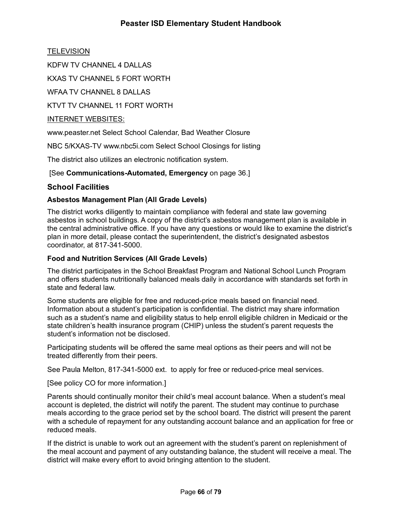# **Peaster ISD Elementary Student Handbook**

**TELEVISION** 

KDFW TV CHANNEL 4 DALLAS

KXAS TV CHANNEL 5 FORT WORTH

WFAA TV CHANNEL 8 DALLAS

KTVT TV CHANNEL 11 FORT WORTH

## INTERNET WEBSITES:

www.peaster.net Select School Calendar, Bad Weather Closure

NBC 5/KXAS-TV www.nbc5i.com Select School Closings for listing

The district also utilizes an electronic notification system.

[See **Communications-Automated, Emergency** on page 36.]

## **School Facilities**

## **Asbestos Management Plan (All Grade Levels)**

The district works diligently to maintain compliance with federal and state law governing asbestos in school buildings. A copy of the district's asbestos management plan is available in the central administrative office. If you have any questions or would like to examine the district's plan in more detail, please contact the superintendent, the district's designated asbestos coordinator, at 817-341-5000.

#### **Food and Nutrition Services (All Grade Levels)**

The district participates in the School Breakfast Program and National School Lunch Program and offers students nutritionally balanced meals daily in accordance with standards set forth in state and federal law.

Some students are eligible for free and reduced-price meals based on financial need. Information about a student's participation is confidential. The district may share information such as a student's name and eligibility status to help enroll eligible children in Medicaid or the state children's health insurance program (CHIP) unless the student's parent requests the student's information not be disclosed.

Participating students will be offered the same meal options as their peers and will not be treated differently from their peers.

See Paula Melton, 817-341-5000 ext. to apply for free or reduced-price meal services.

[See policy CO for more information.]

Parents should continually monitor their child's meal account balance. When a student's meal account is depleted, the district will notify the parent. The student may continue to purchase meals according to the grace period set by the school board. The district will present the parent with a schedule of repayment for any outstanding account balance and an application for free or reduced meals.

If the district is unable to work out an agreement with the student's parent on replenishment of the meal account and payment of any outstanding balance, the student will receive a meal. The district will make every effort to avoid bringing attention to the student.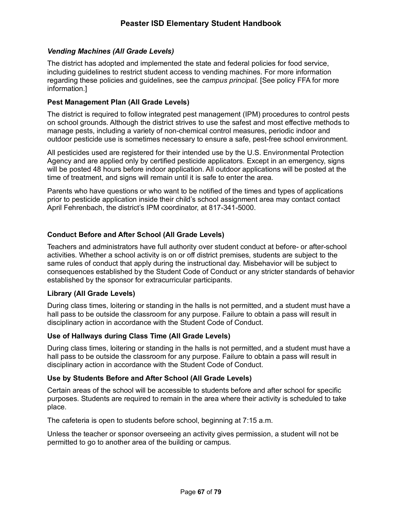## *Vending Machines (All Grade Levels)*

The district has adopted and implemented the state and federal policies for food service, including guidelines to restrict student access to vending machines. For more information regarding these policies and guidelines, see the *campus principal.* [See policy FFA for more information.]

## **Pest Management Plan (All Grade Levels)**

The district is required to follow integrated pest management (IPM) procedures to control pests on school grounds. Although the district strives to use the safest and most effective methods to manage pests, including a variety of non-chemical control measures, periodic indoor and outdoor pesticide use is sometimes necessary to ensure a safe, pest-free school environment.

All pesticides used are registered for their intended use by the U.S. Environmental Protection Agency and are applied only by certified pesticide applicators. Except in an emergency, signs will be posted 48 hours before indoor application. All outdoor applications will be posted at the time of treatment, and signs will remain until it is safe to enter the area.

Parents who have questions or who want to be notified of the times and types of applications prior to pesticide application inside their child's school assignment area may contact contact April Fehrenbach, the district's IPM coordinator, at 817-341-5000.

## **Conduct Before and After School (All Grade Levels)**

Teachers and administrators have full authority over student conduct at before- or after-school activities. Whether a school activity is on or off district premises, students are subject to the same rules of conduct that apply during the instructional day. Misbehavior will be subject to consequences established by the Student Code of Conduct or any stricter standards of behavior established by the sponsor for extracurricular participants.

## **Library (All Grade Levels)**

During class times, loitering or standing in the halls is not permitted, and a student must have a hall pass to be outside the classroom for any purpose. Failure to obtain a pass will result in disciplinary action in accordance with the Student Code of Conduct.

## **Use of Hallways during Class Time (All Grade Levels)**

During class times, loitering or standing in the halls is not permitted, and a student must have a hall pass to be outside the classroom for any purpose. Failure to obtain a pass will result in disciplinary action in accordance with the Student Code of Conduct.

## **Use by Students Before and After School (All Grade Levels)**

Certain areas of the school will be accessible to students before and after school for specific purposes. Students are required to remain in the area where their activity is scheduled to take place.

The cafeteria is open to students before school, beginning at 7:15 a.m.

Unless the teacher or sponsor overseeing an activity gives permission, a student will not be permitted to go to another area of the building or campus.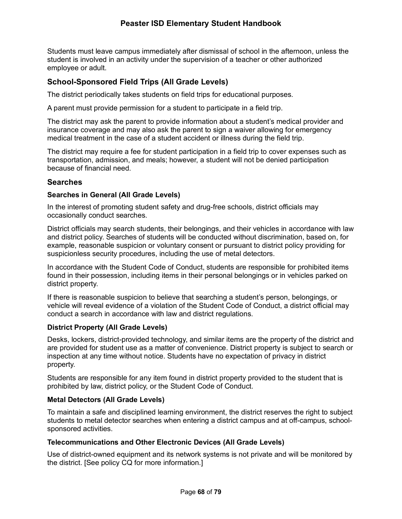# **Peaster ISD Elementary Student Handbook**

Students must leave campus immediately after dismissal of school in the afternoon, unless the student is involved in an activity under the supervision of a teacher or other authorized employee or adult.

## **School-Sponsored Field Trips (All Grade Levels)**

The district periodically takes students on field trips for educational purposes.

A parent must provide permission for a student to participate in a field trip.

The district may ask the parent to provide information about a student's medical provider and insurance coverage and may also ask the parent to sign a waiver allowing for emergency medical treatment in the case of a student accident or illness during the field trip.

The district may require a fee for student participation in a field trip to cover expenses such as transportation, admission, and meals; however, a student will not be denied participation because of financial need.

### **Searches**

#### **Searches in General (All Grade Levels)**

In the interest of promoting student safety and drug-free schools, district officials may occasionally conduct searches.

District officials may search students, their belongings, and their vehicles in accordance with law and district policy. Searches of students will be conducted without discrimination, based on, for example, reasonable suspicion or voluntary consent or pursuant to district policy providing for suspicionless security procedures, including the use of metal detectors.

In accordance with the Student Code of Conduct, students are responsible for prohibited items found in their possession, including items in their personal belongings or in vehicles parked on district property.

If there is reasonable suspicion to believe that searching a student's person, belongings, or vehicle will reveal evidence of a violation of the Student Code of Conduct, a district official may conduct a search in accordance with law and district regulations.

#### **District Property (All Grade Levels)**

Desks, lockers, district-provided technology, and similar items are the property of the district and are provided for student use as a matter of convenience. District property is subject to search or inspection at any time without notice. Students have no expectation of privacy in district property.

Students are responsible for any item found in district property provided to the student that is prohibited by law, district policy, or the Student Code of Conduct.

#### **Metal Detectors (All Grade Levels)**

To maintain a safe and disciplined learning environment, the district reserves the right to subject students to metal detector searches when entering a district campus and at off-campus, schoolsponsored activities.

#### **Telecommunications and Other Electronic Devices (All Grade Levels)**

Use of district-owned equipment and its network systems is not private and will be monitored by the district. [See policy CQ for more information.]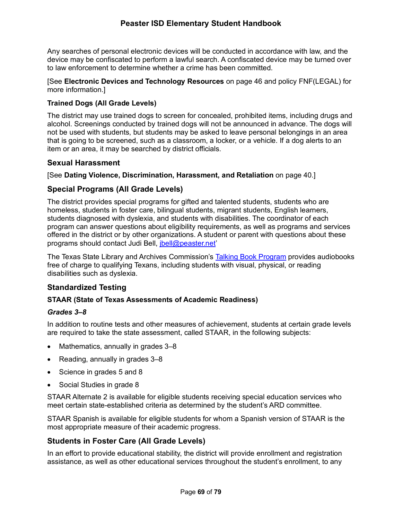Any searches of personal electronic devices will be conducted in accordance with law, and the device may be confiscated to perform a lawful search. A confiscated device may be turned over to law enforcement to determine whether a crime has been committed.

[See **Electronic Devices and Technology Resources** on page 46 and policy FNF(LEGAL) for more information.]

## **Trained Dogs (All Grade Levels)**

The district may use trained dogs to screen for concealed, prohibited items, including drugs and alcohol. Screenings conducted by trained dogs will not be announced in advance. The dogs will not be used with students, but students may be asked to leave personal belongings in an area that is going to be screened, such as a classroom, a locker, or a vehicle. If a dog alerts to an item or an area, it may be searched by district officials.

## **Sexual Harassment**

[See **Dating Violence, Discrimination, Harassment, and Retaliation** on page 40.]

## **Special Programs (All Grade Levels)**

The district provides special programs for gifted and talented students, students who are homeless, students in foster care, bilingual students, migrant students, English learners, students diagnosed with dyslexia, and students with disabilities. The coordinator of each program can answer questions about eligibility requirements, as well as programs and services offered in the district or by other organizations. A student or parent with questions about these programs should contact Judi Bell, jbell@peaster.net'

The Texas State Library and Archives Commission's Talking Book Program provides audiobooks free of charge to qualifying Texans, including students with visual, physical, or reading disabilities such as dyslexia.

# **Standardized Testing**

## **STAAR (State of Texas Assessments of Academic Readiness)**

#### *Grades 3–8*

In addition to routine tests and other measures of achievement, students at certain grade levels are required to take the state assessment, called STAAR, in the following subjects:

- Mathematics, annually in grades 3–8
- Reading, annually in grades 3–8
- Science in grades 5 and 8
- Social Studies in grade 8

STAAR Alternate 2 is available for eligible students receiving special education services who meet certain state-established criteria as determined by the student's ARD committee.

STAAR Spanish is available for eligible students for whom a Spanish version of STAAR is the most appropriate measure of their academic progress.

## **Students in Foster Care (All Grade Levels)**

In an effort to provide educational stability, the district will provide enrollment and registration assistance, as well as other educational services throughout the student's enrollment, to any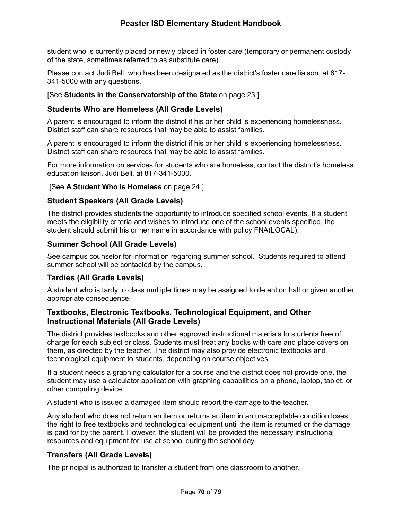# **Peaster ISD Elementary Student Handbook**

student who is currently placed or newly placed in foster care (temporary or permanent custody of the state, sometimes referred to as substitute care).

Please contact Judi Bell, who has been designated as the district's foster care liaison, at 817- 341-5000 with any questions.

#### [See **Students in the Conservatorship of the State** on page 23.]

## **Students Who are Homeless (All Grade Levels)**

A parent is encouraged to inform the district if his or her child is experiencing homelessness. District staff can share resources that may be able to assist families.

A parent is encouraged to inform the district if his or her child is experiencing homelessness. District staff can share resources that may be able to assist families.

For more information on services for students who are homeless, contact the district's homeless education liaison, Judi Bell*,* at 817-341-5000.

#### [See **A Student Who is Homeless** on page 24.]

## **Student Speakers (All Grade Levels)**

The district provides students the opportunity to introduce specified school events*.* If a student meets the eligibility criteria and wishes to introduce one of the school events specified, the student should submit his or her name in accordance with policy FNA(LOCAL).

## **Summer School (All Grade Levels)**

See campus counselor for information regarding summer school. Students required to attend summer school will be contacted by the campus.

## **Tardies (All Grade Levels)**

A student who is tardy to class multiple times may be assigned to detention hall or given another appropriate consequence.

## **Textbooks, Electronic Textbooks, Technological Equipment, and Other Instructional Materials (All Grade Levels)**

The district provides textbooks and other approved instructional materials to students free of charge for each subject or class. Students must treat any books with care and place covers on them, as directed by the teacher. The district may also provide electronic textbooks and technological equipment to students, depending on course objectives.

If a student needs a graphing calculator for a course and the district does not provide one, the student may use a calculator application with graphing capabilities on a phone, laptop, tablet, or other computing device.

A student who is issued a damaged item should report the damage to the teacher.

Any student who does not return an item or returns an item in an unacceptable condition loses the right to free textbooks and technological equipment until the item is returned or the damage is paid for by the parent. However, the student will be provided the necessary instructional resources and equipment for use at school during the school day.

## **Transfers (All Grade Levels)**

The principal is authorized to transfer a student from one classroom to another.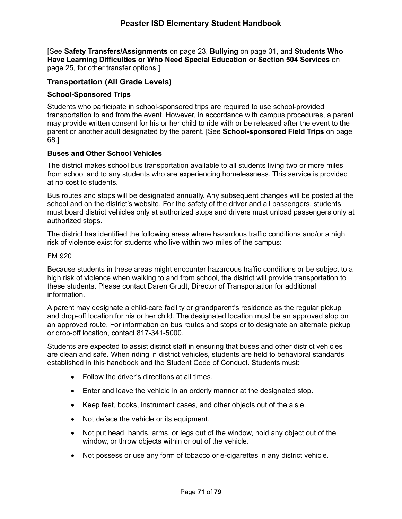[See **Safety Transfers/Assignments** on page 23, **Bullying** on page 31, and **Students Who Have Learning Difficulties or Who Need Special Education or Section 504 Services** on page 25, for other transfer options.]

## **Transportation (All Grade Levels)**

## **School-Sponsored Trips**

Students who participate in school-sponsored trips are required to use school-provided transportation to and from the event. However, in accordance with campus procedures, a parent may provide written consent for his or her child to ride with or be released after the event to the parent or another adult designated by the parent. [See **School-sponsored Field Trips** on page 68.]

### **Buses and Other School Vehicles**

The district makes school bus transportation available to all students living two or more miles from school and to any students who are experiencing homelessness. This service is provided at no cost to students.

Bus routes and stops will be designated annually. Any subsequent changes will be posted at the school and on the district's website. For the safety of the driver and all passengers, students must board district vehicles only at authorized stops and drivers must unload passengers only at authorized stops.

The district has identified the following areas where hazardous traffic conditions and/or a high risk of violence exist for students who live within two miles of the campus:

### FM 920

Because students in these areas might encounter hazardous traffic conditions or be subject to a high risk of violence when walking to and from school, the district will provide transportation to these students. Please contact Daren Grudt, Director of Transportation for additional information.

A parent may designate a child-care facility or grandparent's residence as the regular pickup and drop-off location for his or her child. The designated location must be an approved stop on an approved route. For information on bus routes and stops or to designate an alternate pickup or drop-off location, contact 817-341-5000.

Students are expected to assist district staff in ensuring that buses and other district vehicles are clean and safe. When riding in district vehicles, students are held to behavioral standards established in this handbook and the Student Code of Conduct. Students must:

- Follow the driver's directions at all times.
- Enter and leave the vehicle in an orderly manner at the designated stop.
- Keep feet, books, instrument cases, and other objects out of the aisle.
- Not deface the vehicle or its equipment.
- Not put head, hands, arms, or legs out of the window, hold any object out of the window, or throw objects within or out of the vehicle.
- Not possess or use any form of tobacco or e-cigarettes in any district vehicle.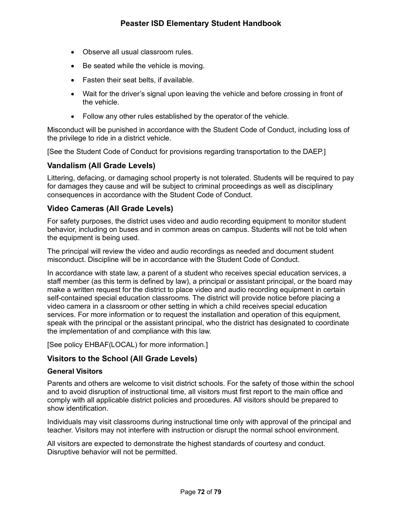- Observe all usual classroom rules.
- Be seated while the vehicle is moving.
- Fasten their seat belts, if available.
- Wait for the driver's signal upon leaving the vehicle and before crossing in front of the vehicle.
- Follow any other rules established by the operator of the vehicle.

Misconduct will be punished in accordance with the Student Code of Conduct, including loss of the privilege to ride in a district vehicle.

[See the Student Code of Conduct for provisions regarding transportation to the DAEP.]

## **Vandalism (All Grade Levels)**

Littering, defacing, or damaging school property is not tolerated. Students will be required to pay for damages they cause and will be subject to criminal proceedings as well as disciplinary consequences in accordance with the Student Code of Conduct.

## **Video Cameras (All Grade Levels)**

For safety purposes, the district uses video and audio recording equipment to monitor student behavior, including on buses and in common areas on campus. Students will not be told when the equipment is being used.

The principal will review the video and audio recordings as needed and document student misconduct. Discipline will be in accordance with the Student Code of Conduct.

In accordance with state law, a parent of a student who receives special education services, a staff member (as this term is defined by law), a principal or assistant principal, or the board may make a written request for the district to place video and audio recording equipment in certain self-contained special education classrooms. The district will provide notice before placing a video camera in a classroom or other setting in which a child receives special education services. For more information or to request the installation and operation of this equipment, speak with the principal or the assistant principal, who the district has designated to coordinate the implementation of and compliance with this law.

[See policy EHBAF(LOCAL) for more information.]

## **Visitors to the School (All Grade Levels)**

### **General Visitors**

Parents and others are welcome to visit district schools. For the safety of those within the school and to avoid disruption of instructional time, all visitors must first report to the main office and comply with all applicable district policies and procedures. All visitors should be prepared to show identification.

Individuals may visit classrooms during instructional time only with approval of the principal and teacher. Visitors may not interfere with instruction or disrupt the normal school environment.

All visitors are expected to demonstrate the highest standards of courtesy and conduct. Disruptive behavior will not be permitted.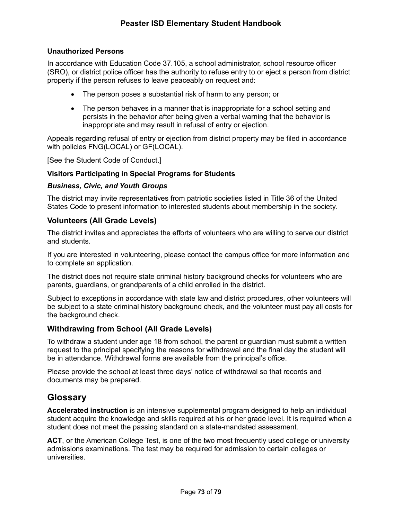### **Unauthorized Persons**

In accordance with Education Code 37.105, a school administrator, school resource officer (SRO), or district police officer has the authority to refuse entry to or eject a person from district property if the person refuses to leave peaceably on request and:

- The person poses a substantial risk of harm to any person; or
- The person behaves in a manner that is inappropriate for a school setting and persists in the behavior after being given a verbal warning that the behavior is inappropriate and may result in refusal of entry or ejection.

Appeals regarding refusal of entry or ejection from district property may be filed in accordance with policies FNG(LOCAL) or GF(LOCAL).

[See the Student Code of Conduct.]

### **Visitors Participating in Special Programs for Students**

### *Business, Civic, and Youth Groups*

The district may invite representatives from patriotic societies listed in Title 36 of the United States Code to present information to interested students about membership in the society.

## **Volunteers (All Grade Levels)**

The district invites and appreciates the efforts of volunteers who are willing to serve our district and students.

If you are interested in volunteering, please contact the campus office for more information and to complete an application.

The district does not require state criminal history background checks for volunteers who are parents, guardians, or grandparents of a child enrolled in the district.

Subject to exceptions in accordance with state law and district procedures, other volunteers will be subject to a state criminal history background check, and the volunteer must pay all costs for the background check.

## **Withdrawing from School (All Grade Levels)**

To withdraw a student under age 18 from school, the parent or guardian must submit a written request to the principal specifying the reasons for withdrawal and the final day the student will be in attendance. Withdrawal forms are available from the principal's office.

Please provide the school at least three days' notice of withdrawal so that records and documents may be prepared.

# **Glossary**

**Accelerated instruction** is an intensive supplemental program designed to help an individual student acquire the knowledge and skills required at his or her grade level. It is required when a student does not meet the passing standard on a state-mandated assessment.

**ACT**, or the American College Test, is one of the two most frequently used college or university admissions examinations. The test may be required for admission to certain colleges or universities.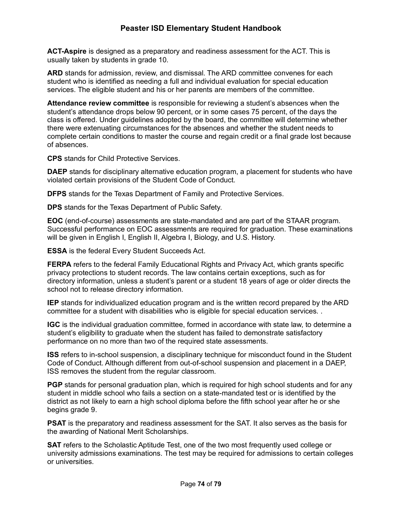**ACT-Aspire** is designed as a preparatory and readiness assessment for the ACT. This is usually taken by students in grade 10.

**ARD** stands for admission, review, and dismissal. The ARD committee convenes for each student who is identified as needing a full and individual evaluation for special education services. The eligible student and his or her parents are members of the committee.

**Attendance review committee** is responsible for reviewing a student's absences when the student's attendance drops below 90 percent, or in some cases 75 percent, of the days the class is offered. Under guidelines adopted by the board, the committee will determine whether there were extenuating circumstances for the absences and whether the student needs to complete certain conditions to master the course and regain credit or a final grade lost because of absences.

**CPS** stands for Child Protective Services.

**DAEP** stands for disciplinary alternative education program, a placement for students who have violated certain provisions of the Student Code of Conduct.

**DFPS** stands for the Texas Department of Family and Protective Services.

**DPS** stands for the Texas Department of Public Safety.

**EOC** (end-of-course) assessments are state-mandated and are part of the STAAR program. Successful performance on EOC assessments are required for graduation. These examinations will be given in English I, English II, Algebra I, Biology, and U.S. History.

**ESSA** is the federal Every Student Succeeds Act.

**FERPA** refers to the federal Family Educational Rights and Privacy Act, which grants specific privacy protections to student records. The law contains certain exceptions, such as for directory information, unless a student's parent or a student 18 years of age or older directs the school not to release directory information.

**IEP** stands for individualized education program and is the written record prepared by the ARD committee for a student with disabilities who is eligible for special education services. .

**IGC** is the individual graduation committee, formed in accordance with state law, to determine a student's eligibility to graduate when the student has failed to demonstrate satisfactory performance on no more than two of the required state assessments.

**ISS** refers to in-school suspension, a disciplinary technique for misconduct found in the Student Code of Conduct. Although different from out-of-school suspension and placement in a DAEP, ISS removes the student from the regular classroom.

**PGP** stands for personal graduation plan, which is required for high school students and for any student in middle school who fails a section on a state-mandated test or is identified by the district as not likely to earn a high school diploma before the fifth school year after he or she begins grade 9.

**PSAT** is the preparatory and readiness assessment for the SAT. It also serves as the basis for the awarding of National Merit Scholarships.

**SAT** refers to the Scholastic Aptitude Test, one of the two most frequently used college or university admissions examinations. The test may be required for admissions to certain colleges or universities.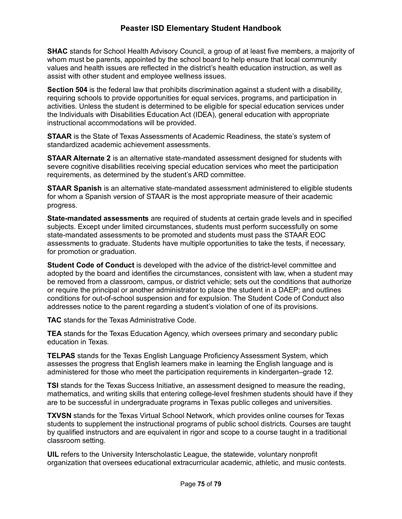**SHAC** stands for School Health Advisory Council, a group of at least five members, a majority of whom must be parents, appointed by the school board to help ensure that local community values and health issues are reflected in the district's health education instruction, as well as assist with other student and employee wellness issues.

**Section 504** is the federal law that prohibits discrimination against a student with a disability, requiring schools to provide opportunities for equal services, programs, and participation in activities. Unless the student is determined to be eligible for special education services under the Individuals with Disabilities Education Act (IDEA), general education with appropriate instructional accommodations will be provided.

**STAAR** is the State of Texas Assessments of Academic Readiness, the state's system of standardized academic achievement assessments.

**STAAR Alternate 2** is an alternative state-mandated assessment designed for students with severe cognitive disabilities receiving special education services who meet the participation requirements, as determined by the student's ARD committee.

**STAAR Spanish** is an alternative state-mandated assessment administered to eligible students for whom a Spanish version of STAAR is the most appropriate measure of their academic progress.

**State-mandated assessments** are required of students at certain grade levels and in specified subjects. Except under limited circumstances, students must perform successfully on some state-mandated assessments to be promoted and students must pass the STAAR EOC assessments to graduate. Students have multiple opportunities to take the tests, if necessary, for promotion or graduation.

**Student Code of Conduct** is developed with the advice of the district-level committee and adopted by the board and identifies the circumstances, consistent with law, when a student may be removed from a classroom, campus, or district vehicle; sets out the conditions that authorize or require the principal or another administrator to place the student in a DAEP; and outlines conditions for out-of-school suspension and for expulsion. The Student Code of Conduct also addresses notice to the parent regarding a student's violation of one of its provisions.

**TAC** stands for the Texas Administrative Code.

**TEA** stands for the Texas Education Agency, which oversees primary and secondary public education in Texas.

**TELPAS** stands for the Texas English Language Proficiency Assessment System, which assesses the progress that English learners make in learning the English language and is administered for those who meet the participation requirements in kindergarten–grade 12.

**TSI** stands for the Texas Success Initiative, an assessment designed to measure the reading, mathematics, and writing skills that entering college-level freshmen students should have if they are to be successful in undergraduate programs in Texas public colleges and universities.

**TXVSN** stands for the Texas Virtual School Network, which provides online courses for Texas students to supplement the instructional programs of public school districts. Courses are taught by qualified instructors and are equivalent in rigor and scope to a course taught in a traditional classroom setting.

**UIL** refers to the University Interscholastic League, the statewide, voluntary nonprofit organization that oversees educational extracurricular academic, athletic, and music contests.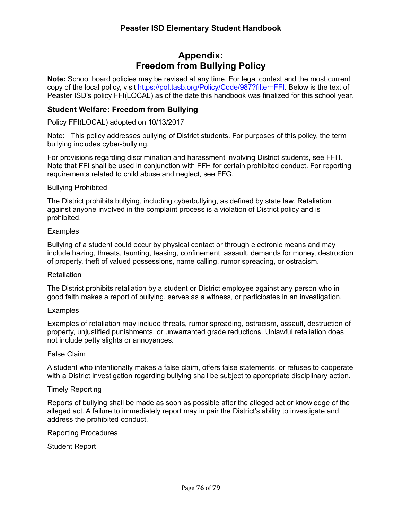# **Appendix: Freedom from Bullying Policy**

**Note:** School board policies may be revised at any time. For legal context and the most current copy of the local policy, visit https://pol.tasb.org/Policy/Code/987?filter=FFI. Below is the text of Peaster ISD's policy FFI(LOCAL) as of the date this handbook was finalized for this school year.

## **Student Welfare: Freedom from Bullying**

Policy FFI(LOCAL) adopted on 10/13/2017

Note: This policy addresses bullying of District students. For purposes of this policy, the term bullying includes cyber-bullying.

For provisions regarding discrimination and harassment involving District students, see FFH. Note that FFI shall be used in conjunction with FFH for certain prohibited conduct. For reporting requirements related to child abuse and neglect, see FFG.

### Bullying Prohibited

The District prohibits bullying, including cyberbullying, as defined by state law. Retaliation against anyone involved in the complaint process is a violation of District policy and is prohibited.

### **Examples**

Bullying of a student could occur by physical contact or through electronic means and may include hazing, threats, taunting, teasing, confinement, assault, demands for money, destruction of property, theft of valued possessions, name calling, rumor spreading, or ostracism.

#### **Retaliation**

The District prohibits retaliation by a student or District employee against any person who in good faith makes a report of bullying, serves as a witness, or participates in an investigation.

### **Examples**

Examples of retaliation may include threats, rumor spreading, ostracism, assault, destruction of property, unjustified punishments, or unwarranted grade reductions. Unlawful retaliation does not include petty slights or annoyances.

### False Claim

A student who intentionally makes a false claim, offers false statements, or refuses to cooperate with a District investigation regarding bullying shall be subject to appropriate disciplinary action.

### Timely Reporting

Reports of bullying shall be made as soon as possible after the alleged act or knowledge of the alleged act. A failure to immediately report may impair the District's ability to investigate and address the prohibited conduct.

#### Reporting Procedures

Student Report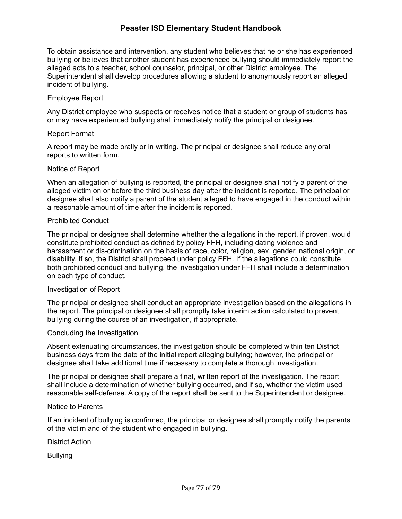To obtain assistance and intervention, any student who believes that he or she has experienced bullying or believes that another student has experienced bullying should immediately report the alleged acts to a teacher, school counselor, principal, or other District employee. The Superintendent shall develop procedures allowing a student to anonymously report an alleged incident of bullying.

### Employee Report

Any District employee who suspects or receives notice that a student or group of students has or may have experienced bullying shall immediately notify the principal or designee.

### Report Format

A report may be made orally or in writing. The principal or designee shall reduce any oral reports to written form.

### Notice of Report

When an allegation of bullying is reported, the principal or designee shall notify a parent of the alleged victim on or before the third business day after the incident is reported. The principal or designee shall also notify a parent of the student alleged to have engaged in the conduct within a reasonable amount of time after the incident is reported.

### Prohibited Conduct

The principal or designee shall determine whether the allegations in the report, if proven, would constitute prohibited conduct as defined by policy FFH, including dating violence and harassment or dis-crimination on the basis of race, color, religion, sex, gender, national origin, or disability. If so, the District shall proceed under policy FFH. If the allegations could constitute both prohibited conduct and bullying, the investigation under FFH shall include a determination on each type of conduct.

### Investigation of Report

The principal or designee shall conduct an appropriate investigation based on the allegations in the report. The principal or designee shall promptly take interim action calculated to prevent bullying during the course of an investigation, if appropriate.

### Concluding the Investigation

Absent extenuating circumstances, the investigation should be completed within ten District business days from the date of the initial report alleging bullying; however, the principal or designee shall take additional time if necessary to complete a thorough investigation.

The principal or designee shall prepare a final, written report of the investigation. The report shall include a determination of whether bullying occurred, and if so, whether the victim used reasonable self-defense. A copy of the report shall be sent to the Superintendent or designee.

### Notice to Parents

If an incident of bullying is confirmed, the principal or designee shall promptly notify the parents of the victim and of the student who engaged in bullying.

District Action

Bullying